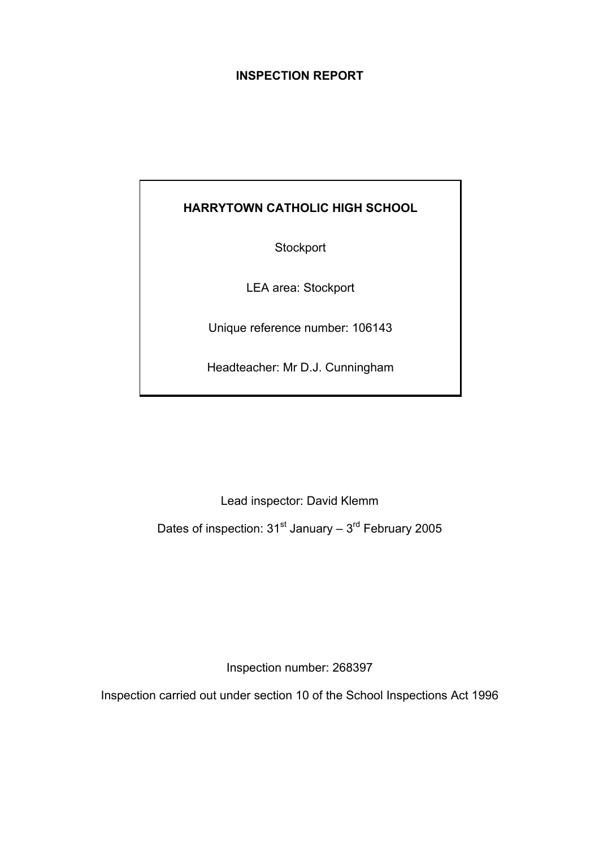## **INSPECTION REPORT**

## **HARRYTOWN CATHOLIC HIGH SCHOOL**

**Stockport** 

LEA area: Stockport

Unique reference number: 106143

Headteacher: Mr D.J. Cunningham

Lead inspector: David Klemm

Dates of inspection:  $31<sup>st</sup>$  January –  $3<sup>rd</sup>$  February 2005

Inspection number: 268397

Inspection carried out under section 10 of the School Inspections Act 1996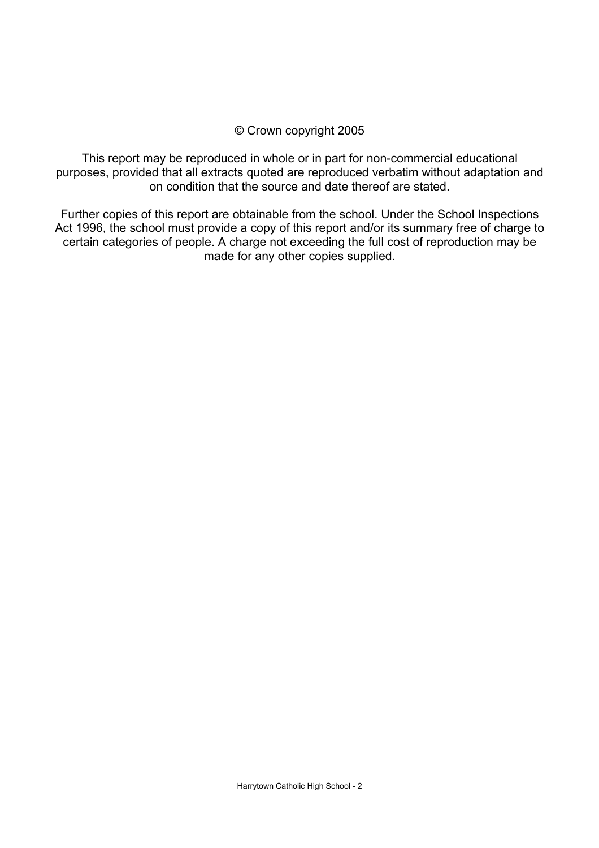## © Crown copyright 2005

This report may be reproduced in whole or in part for non-commercial educational purposes, provided that all extracts quoted are reproduced verbatim without adaptation and on condition that the source and date thereof are stated.

Further copies of this report are obtainable from the school. Under the School Inspections Act 1996, the school must provide a copy of this report and/or its summary free of charge to certain categories of people. A charge not exceeding the full cost of reproduction may be made for any other copies supplied.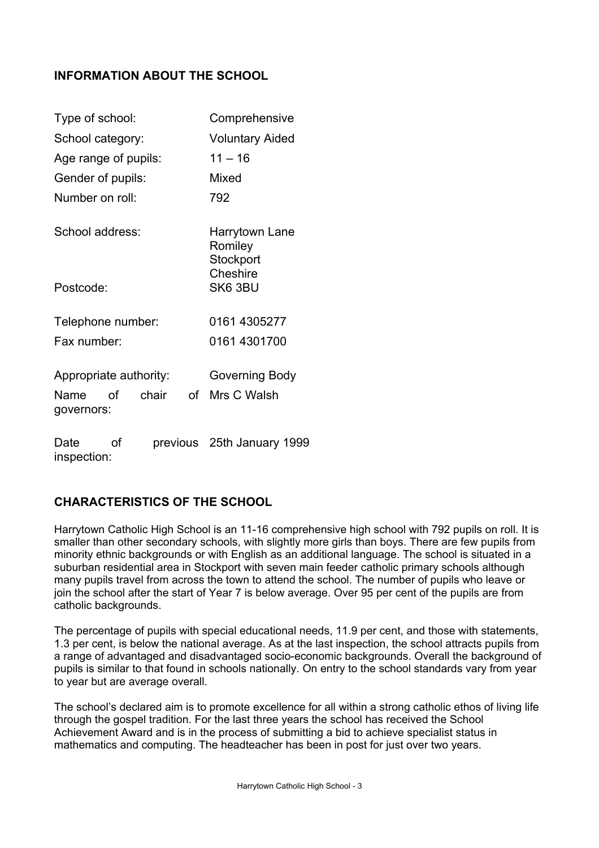## **INFORMATION ABOUT THE SCHOOL**

| Type of school:                         | Comprehensive                          |  |  |
|-----------------------------------------|----------------------------------------|--|--|
| School category:                        | <b>Voluntary Aided</b>                 |  |  |
| Age range of pupils:                    | $11 - 16$                              |  |  |
| Gender of pupils:                       | Mixed                                  |  |  |
| Number on roll:                         | 792                                    |  |  |
| School address:                         | Harrytown Lane<br>Romiley<br>Stockport |  |  |
| Postcode:                               | Cheshire<br>SK6 3BU                    |  |  |
| Telephone number:                       | 0161 4305277                           |  |  |
| Fax number:                             | 0161 4301700                           |  |  |
| Appropriate authority:                  | Governing Body                         |  |  |
| chair<br>of<br>Name<br>Ωf<br>governors: | Mrs C Walsh                            |  |  |
| Date<br>Ωf<br>inspection:               | previous 25th January 1999             |  |  |

## **CHARACTERISTICS OF THE SCHOOL**

Harrytown Catholic High School is an 11-16 comprehensive high school with 792 pupils on roll. It is smaller than other secondary schools, with slightly more girls than boys. There are few pupils from minority ethnic backgrounds or with English as an additional language. The school is situated in a suburban residential area in Stockport with seven main feeder catholic primary schools although many pupils travel from across the town to attend the school. The number of pupils who leave or join the school after the start of Year 7 is below average. Over 95 per cent of the pupils are from catholic backgrounds.

The percentage of pupils with special educational needs, 11.9 per cent, and those with statements, 1.3 per cent, is below the national average. As at the last inspection, the school attracts pupils from a range of advantaged and disadvantaged socio-economic backgrounds. Overall the background of pupils is similar to that found in schools nationally. On entry to the school standards vary from year to year but are average overall.

The school's declared aim is to promote excellence for all within a strong catholic ethos of living life through the gospel tradition. For the last three years the school has received the School Achievement Award and is in the process of submitting a bid to achieve specialist status in mathematics and computing. The headteacher has been in post for just over two years.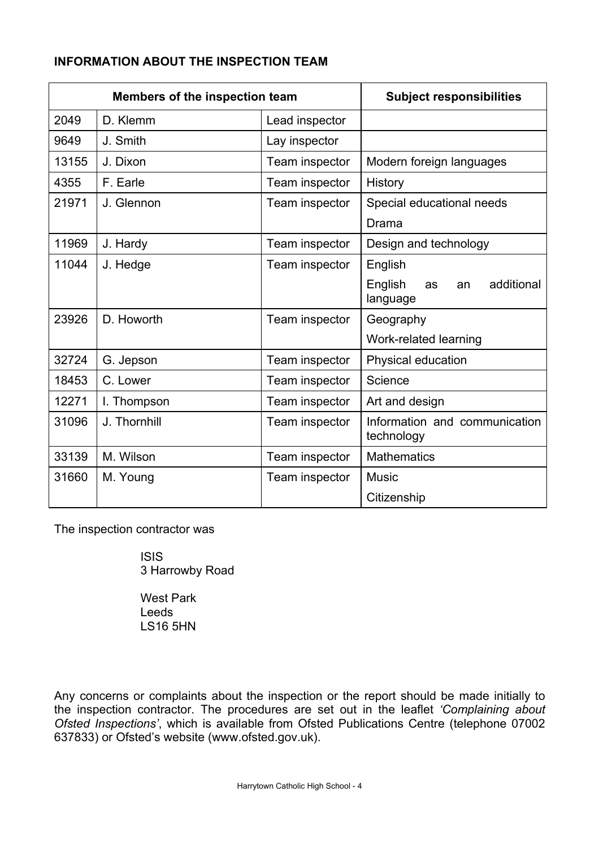## **INFORMATION ABOUT THE INSPECTION TEAM**

| Members of the inspection team |              |                | <b>Subject responsibilities</b>               |
|--------------------------------|--------------|----------------|-----------------------------------------------|
| 2049                           | D. Klemm     | Lead inspector |                                               |
| 9649                           | J. Smith     | Lay inspector  |                                               |
| 13155                          | J. Dixon     | Team inspector | Modern foreign languages                      |
| 4355                           | F. Earle     | Team inspector | History                                       |
| 21971                          | J. Glennon   | Team inspector | Special educational needs                     |
|                                |              |                | Drama                                         |
| 11969                          | J. Hardy     | Team inspector | Design and technology                         |
| 11044                          | J. Hedge     | Team inspector | English                                       |
|                                |              |                | English<br>additional<br>as<br>an<br>language |
| 23926                          | D. Howorth   | Team inspector | Geography                                     |
|                                |              |                | Work-related learning                         |
| 32724                          | G. Jepson    | Team inspector | Physical education                            |
| 18453                          | C. Lower     | Team inspector | Science                                       |
| 12271                          | I. Thompson  | Team inspector | Art and design                                |
| 31096                          | J. Thornhill | Team inspector | Information and communication<br>technology   |
| 33139                          | M. Wilson    | Team inspector | <b>Mathematics</b>                            |
| 31660                          | M. Young     | Team inspector | <b>Music</b>                                  |
|                                |              |                | Citizenship                                   |

The inspection contractor was

 ISIS 3 Harrowby Road

 West Park Leeds LS16 5HN

Any concerns or complaints about the inspection or the report should be made initially to the inspection contractor. The procedures are set out in the leaflet *'Complaining about Ofsted Inspections'*, which is available from Ofsted Publications Centre (telephone 07002 637833) or Ofsted's website (www.ofsted.gov.uk).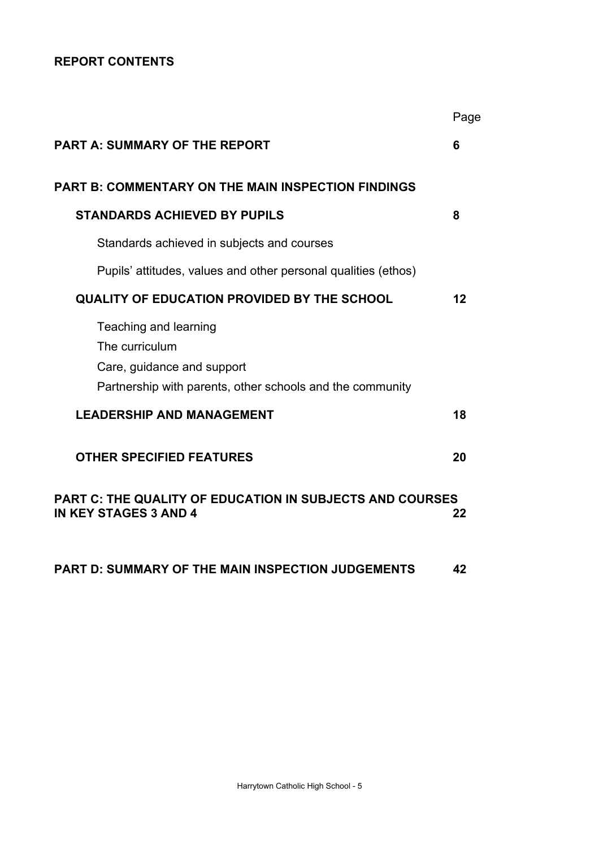## **REPORT CONTENTS**

|                                                                                                                                    | Page |
|------------------------------------------------------------------------------------------------------------------------------------|------|
| <b>PART A: SUMMARY OF THE REPORT</b>                                                                                               | 6    |
| <b>PART B: COMMENTARY ON THE MAIN INSPECTION FINDINGS</b>                                                                          |      |
| <b>STANDARDS ACHIEVED BY PUPILS</b>                                                                                                | 8    |
| Standards achieved in subjects and courses                                                                                         |      |
| Pupils' attitudes, values and other personal qualities (ethos)                                                                     |      |
| <b>QUALITY OF EDUCATION PROVIDED BY THE SCHOOL</b>                                                                                 | 12   |
| Teaching and learning<br>The curriculum<br>Care, guidance and support<br>Partnership with parents, other schools and the community |      |
| <b>LEADERSHIP AND MANAGEMENT</b>                                                                                                   | 18   |
| <b>OTHER SPECIFIED FEATURES</b>                                                                                                    | 20   |
| <b>PART C: THE QUALITY OF EDUCATION IN SUBJECTS AND COURSES</b><br><b>IN KEY STAGES 3 AND 4</b>                                    | 22   |
| <b>PART D: SUMMARY OF THE MAIN INSPECTION JUDGEMENTS</b>                                                                           | 42   |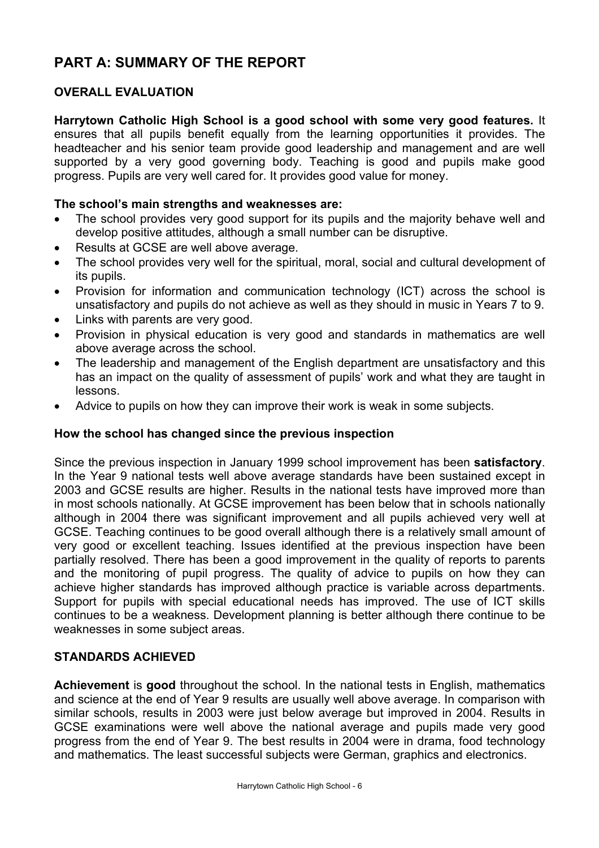# **PART A: SUMMARY OF THE REPORT**

## **OVERALL EVALUATION**

**Harrytown Catholic High School is a good school with some very good features.** It ensures that all pupils benefit equally from the learning opportunities it provides. The headteacher and his senior team provide good leadership and management and are well supported by a very good governing body. Teaching is good and pupils make good progress. Pupils are very well cared for. It provides good value for money.

#### **The school's main strengths and weaknesses are:**

- The school provides very good support for its pupils and the majority behave well and develop positive attitudes, although a small number can be disruptive.
- Results at GCSE are well above average.
- The school provides very well for the spiritual, moral, social and cultural development of its pupils.
- Provision for information and communication technology (ICT) across the school is unsatisfactory and pupils do not achieve as well as they should in music in Years 7 to 9.
- Links with parents are very good.
- Provision in physical education is very good and standards in mathematics are well above average across the school.
- The leadership and management of the English department are unsatisfactory and this has an impact on the quality of assessment of pupils' work and what they are taught in lessons.
- Advice to pupils on how they can improve their work is weak in some subjects.

### **How the school has changed since the previous inspection**

Since the previous inspection in January 1999 school improvement has been **satisfactory**. In the Year 9 national tests well above average standards have been sustained except in 2003 and GCSE results are higher. Results in the national tests have improved more than in most schools nationally. At GCSE improvement has been below that in schools nationally although in 2004 there was significant improvement and all pupils achieved very well at GCSE. Teaching continues to be good overall although there is a relatively small amount of very good or excellent teaching. Issues identified at the previous inspection have been partially resolved. There has been a good improvement in the quality of reports to parents and the monitoring of pupil progress. The quality of advice to pupils on how they can achieve higher standards has improved although practice is variable across departments. Support for pupils with special educational needs has improved. The use of ICT skills continues to be a weakness. Development planning is better although there continue to be weaknesses in some subject areas.

#### **STANDARDS ACHIEVED**

**Achievement** is **good** throughout the school. In the national tests in English, mathematics and science at the end of Year 9 results are usually well above average. In comparison with similar schools, results in 2003 were just below average but improved in 2004. Results in GCSE examinations were well above the national average and pupils made very good progress from the end of Year 9. The best results in 2004 were in drama, food technology and mathematics. The least successful subjects were German, graphics and electronics.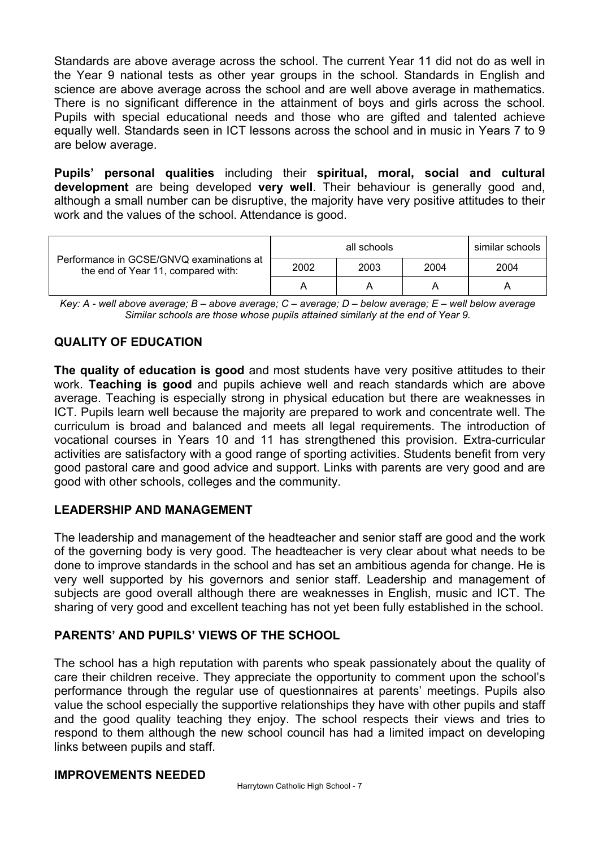Standards are above average across the school. The current Year 11 did not do as well in the Year 9 national tests as other year groups in the school. Standards in English and science are above average across the school and are well above average in mathematics. There is no significant difference in the attainment of boys and girls across the school. Pupils with special educational needs and those who are gifted and talented achieve equally well. Standards seen in ICT lessons across the school and in music in Years 7 to 9 are below average.

**Pupils' personal qualities** including their **spiritual, moral, social and cultural development** are being developed **very well**. Their behaviour is generally good and, although a small number can be disruptive, the majority have very positive attitudes to their work and the values of the school. Attendance is good.

| Performance in GCSE/GNVQ examinations at<br>the end of Year 11, compared with: | all schools<br>similar schools |      |      |      |  |
|--------------------------------------------------------------------------------|--------------------------------|------|------|------|--|
|                                                                                | 2002                           | 2003 | 2004 | 2004 |  |
|                                                                                |                                |      |      |      |  |

*Key: A - well above average; B – above average; C – average; D – below average; E – well below average Similar schools are those whose pupils attained similarly at the end of Year 9.* 

## **QUALITY OF EDUCATION**

**The quality of education is good** and most students have very positive attitudes to their work. **Teaching is good** and pupils achieve well and reach standards which are above average. Teaching is especially strong in physical education but there are weaknesses in ICT. Pupils learn well because the majority are prepared to work and concentrate well. The curriculum is broad and balanced and meets all legal requirements. The introduction of vocational courses in Years 10 and 11 has strengthened this provision. Extra-curricular activities are satisfactory with a good range of sporting activities. Students benefit from very good pastoral care and good advice and support. Links with parents are very good and are good with other schools, colleges and the community.

## **LEADERSHIP AND MANAGEMENT**

The leadership and management of the headteacher and senior staff are good and the work of the governing body is very good. The headteacher is very clear about what needs to be done to improve standards in the school and has set an ambitious agenda for change. He is very well supported by his governors and senior staff. Leadership and management of subjects are good overall although there are weaknesses in English, music and ICT. The sharing of very good and excellent teaching has not yet been fully established in the school.

## **PARENTS' AND PUPILS' VIEWS OF THE SCHOOL**

The school has a high reputation with parents who speak passionately about the quality of care their children receive. They appreciate the opportunity to comment upon the school's performance through the regular use of questionnaires at parents' meetings. Pupils also value the school especially the supportive relationships they have with other pupils and staff and the good quality teaching they enjoy. The school respects their views and tries to respond to them although the new school council has had a limited impact on developing links between pupils and staff.

### **IMPROVEMENTS NEEDED**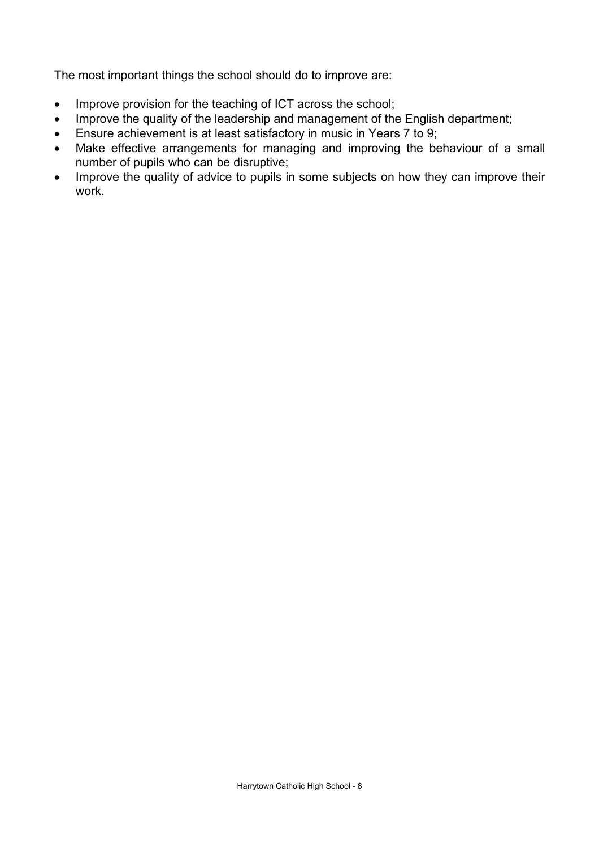The most important things the school should do to improve are:

- Improve provision for the teaching of ICT across the school;
- Improve the quality of the leadership and management of the English department;
- Ensure achievement is at least satisfactory in music in Years 7 to 9;
- Make effective arrangements for managing and improving the behaviour of a small number of pupils who can be disruptive;
- Improve the quality of advice to pupils in some subjects on how they can improve their work.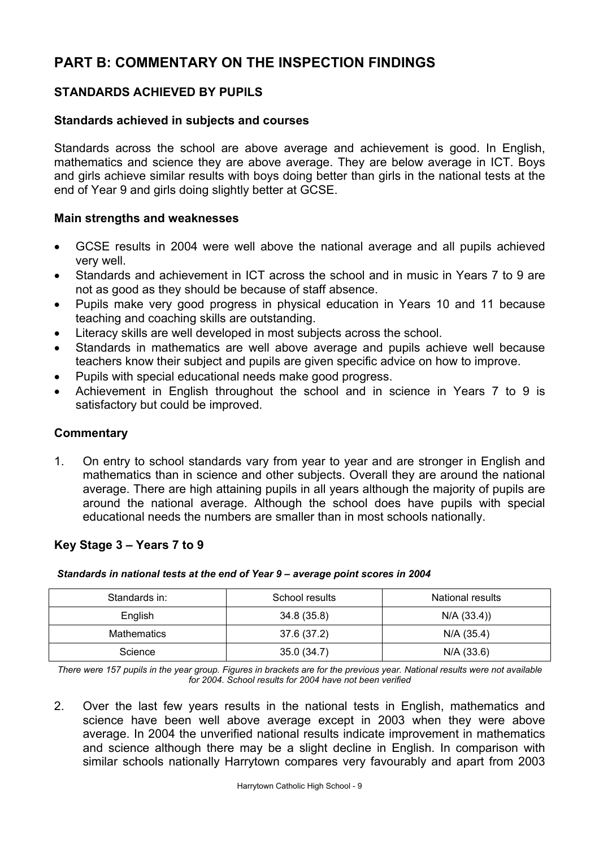# **PART B: COMMENTARY ON THE INSPECTION FINDINGS**

## **STANDARDS ACHIEVED BY PUPILS**

## **Standards achieved in subjects and courses**

Standards across the school are above average and achievement is good. In English, mathematics and science they are above average. They are below average in ICT. Boys and girls achieve similar results with boys doing better than girls in the national tests at the end of Year 9 and girls doing slightly better at GCSE.

#### **Main strengths and weaknesses**

- GCSE results in 2004 were well above the national average and all pupils achieved very well.
- Standards and achievement in ICT across the school and in music in Years 7 to 9 are not as good as they should be because of staff absence.
- Pupils make very good progress in physical education in Years 10 and 11 because teaching and coaching skills are outstanding.
- Literacy skills are well developed in most subjects across the school.
- Standards in mathematics are well above average and pupils achieve well because teachers know their subject and pupils are given specific advice on how to improve.
- Pupils with special educational needs make good progress.
- Achievement in English throughout the school and in science in Years 7 to 9 is satisfactory but could be improved.

### **Commentary**

1. On entry to school standards vary from year to year and are stronger in English and mathematics than in science and other subjects. Overall they are around the national average. There are high attaining pupils in all years although the majority of pupils are around the national average. Although the school does have pupils with special educational needs the numbers are smaller than in most schools nationally.

### **Key Stage 3 – Years 7 to 9**

| Standards in:      | School results | <b>National results</b> |
|--------------------|----------------|-------------------------|
| English            | 34.8 (35.8)    | N/A (33.4)              |
| <b>Mathematics</b> | 37.6 (37.2)    | $N/A$ (35.4)            |
| Science            | 35.0(34.7)     | N/A (33.6)              |

 *Standards in national tests at the end of Year 9 – average point scores in 2004* 

*There were 157 pupils in the year group. Figures in brackets are for the previous year. National results were not available for 2004. School results for 2004 have not been verified* 

2. Over the last few years results in the national tests in English, mathematics and science have been well above average except in 2003 when they were above average. In 2004 the unverified national results indicate improvement in mathematics and science although there may be a slight decline in English. In comparison with similar schools nationally Harrytown compares very favourably and apart from 2003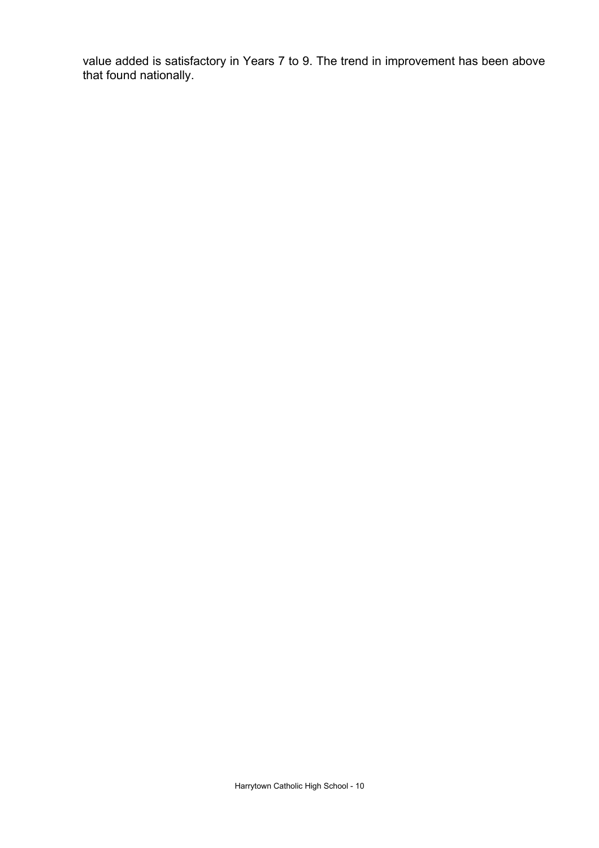value added is satisfactory in Years 7 to 9. The trend in improvement has been above that found nationally.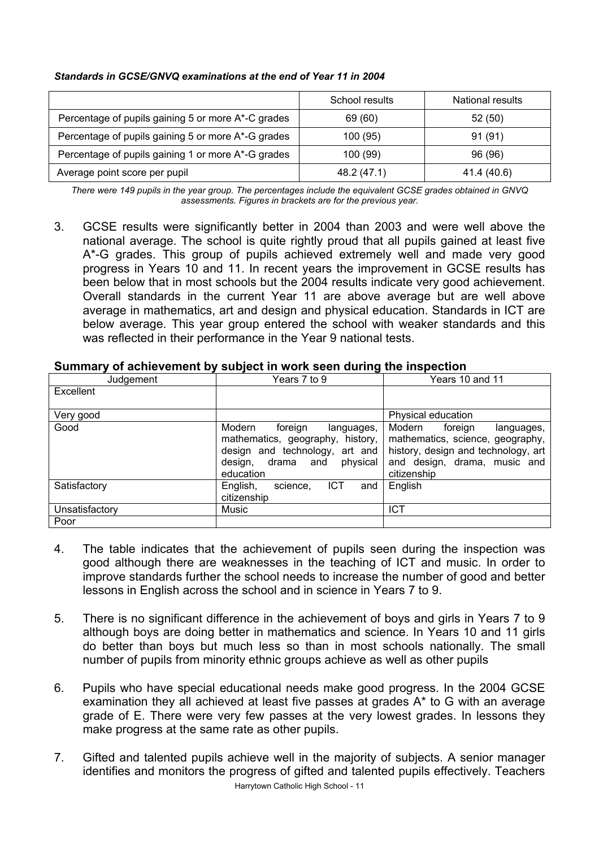#### *Standards in GCSE/GNVQ examinations at the end of Year 11 in 2004*

|                                                    | School results | National results |
|----------------------------------------------------|----------------|------------------|
| Percentage of pupils gaining 5 or more A*-C grades | 69 (60)        | 52(50)           |
| Percentage of pupils gaining 5 or more A*-G grades | 100 (95)       | 91 (91)          |
| Percentage of pupils gaining 1 or more A*-G grades | 100 (99)       | 96 (96)          |
| Average point score per pupil                      | 48.2 (47.1)    | 41.4 (40.6)      |

*There were 149 pupils in the year group. The percentages include the equivalent GCSE grades obtained in GNVQ assessments. Figures in brackets are for the previous year.* 

3. GCSE results were significantly better in 2004 than 2003 and were well above the national average. The school is quite rightly proud that all pupils gained at least five A\*-G grades. This group of pupils achieved extremely well and made very good progress in Years 10 and 11. In recent years the improvement in GCSE results has been below that in most schools but the 2004 results indicate very good achievement. Overall standards in the current Year 11 are above average but are well above average in mathematics, art and design and physical education. Standards in ICT are below average. This year group entered the school with weaker standards and this was reflected in their performance in the Year 9 national tests.

| Judgement      | Years 7 to 9                                                                                                                                              | Years 10 and 11                                                                                                                                           |
|----------------|-----------------------------------------------------------------------------------------------------------------------------------------------------------|-----------------------------------------------------------------------------------------------------------------------------------------------------------|
| Excellent      |                                                                                                                                                           |                                                                                                                                                           |
|                |                                                                                                                                                           |                                                                                                                                                           |
| Very good      |                                                                                                                                                           | Physical education                                                                                                                                        |
| Good           | foreign<br>Modern<br>languages,<br>mathematics, geography, history,<br>design and technology, art and<br>physical<br>design,<br>drama<br>and<br>education | Modern<br>foreign<br>languages,<br>mathematics, science, geography,<br>history, design and technology, art<br>and design, drama, music and<br>citizenship |
| Satisfactory   | ICT<br>English,<br>science.<br>and<br>citizenship                                                                                                         | English                                                                                                                                                   |
| Unsatisfactory | Music                                                                                                                                                     | <b>ICT</b>                                                                                                                                                |
| Poor           |                                                                                                                                                           |                                                                                                                                                           |

### **Summary of achievement by subject in work seen during the inspection**

- 4. The table indicates that the achievement of pupils seen during the inspection was good although there are weaknesses in the teaching of ICT and music. In order to improve standards further the school needs to increase the number of good and better lessons in English across the school and in science in Years 7 to 9.
- 5. There is no significant difference in the achievement of boys and girls in Years 7 to 9 although boys are doing better in mathematics and science. In Years 10 and 11 girls do better than boys but much less so than in most schools nationally. The small number of pupils from minority ethnic groups achieve as well as other pupils
- 6. Pupils who have special educational needs make good progress. In the 2004 GCSE examination they all achieved at least five passes at grades A\* to G with an average grade of E. There were very few passes at the very lowest grades. In lessons they make progress at the same rate as other pupils.
- Harrytown Catholic High School 11 7. Gifted and talented pupils achieve well in the majority of subjects. A senior manager identifies and monitors the progress of gifted and talented pupils effectively. Teachers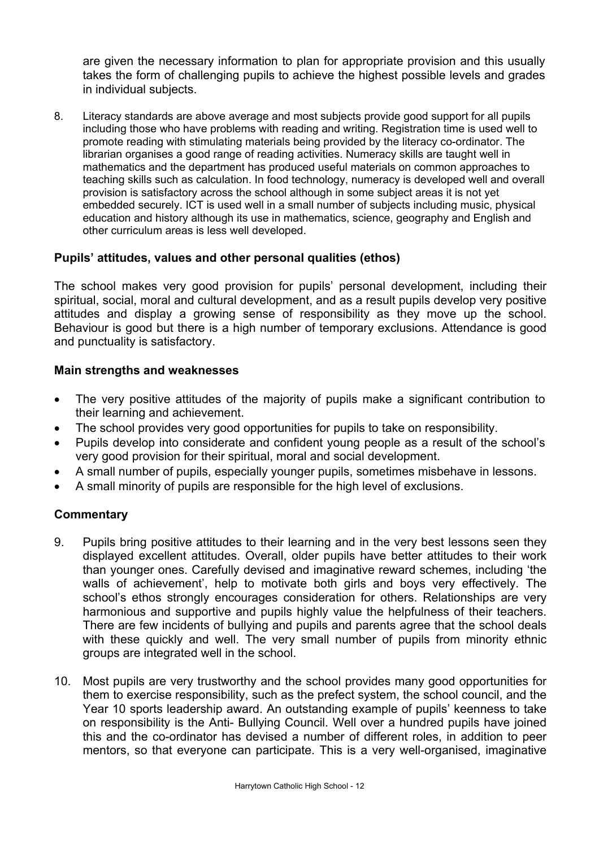are given the necessary information to plan for appropriate provision and this usually takes the form of challenging pupils to achieve the highest possible levels and grades in individual subjects.

8. Literacy standards are above average and most subjects provide good support for all pupils including those who have problems with reading and writing. Registration time is used well to promote reading with stimulating materials being provided by the literacy co-ordinator. The librarian organises a good range of reading activities. Numeracy skills are taught well in mathematics and the department has produced useful materials on common approaches to teaching skills such as calculation. In food technology, numeracy is developed well and overall provision is satisfactory across the school although in some subject areas it is not yet embedded securely. ICT is used well in a small number of subjects including music, physical education and history although its use in mathematics, science, geography and English and other curriculum areas is less well developed.

## **Pupils' attitudes, values and other personal qualities (ethos)**

The school makes very good provision for pupils' personal development, including their spiritual, social, moral and cultural development, and as a result pupils develop very positive attitudes and display a growing sense of responsibility as they move up the school. Behaviour is good but there is a high number of temporary exclusions. Attendance is good and punctuality is satisfactory.

## **Main strengths and weaknesses**

- The very positive attitudes of the majority of pupils make a significant contribution to their learning and achievement.
- The school provides very good opportunities for pupils to take on responsibility.
- Pupils develop into considerate and confident young people as a result of the school's very good provision for their spiritual, moral and social development.
- A small number of pupils, especially younger pupils, sometimes misbehave in lessons.
- A small minority of pupils are responsible for the high level of exclusions.

- 9. Pupils bring positive attitudes to their learning and in the very best lessons seen they displayed excellent attitudes. Overall, older pupils have better attitudes to their work than younger ones. Carefully devised and imaginative reward schemes, including 'the walls of achievement', help to motivate both girls and boys very effectively. The school's ethos strongly encourages consideration for others. Relationships are very harmonious and supportive and pupils highly value the helpfulness of their teachers. There are few incidents of bullying and pupils and parents agree that the school deals with these quickly and well. The very small number of pupils from minority ethnic groups are integrated well in the school.
- 10. Most pupils are very trustworthy and the school provides many good opportunities for them to exercise responsibility, such as the prefect system, the school council, and the Year 10 sports leadership award. An outstanding example of pupils' keenness to take on responsibility is the Anti- Bullying Council. Well over a hundred pupils have joined this and the co-ordinator has devised a number of different roles, in addition to peer mentors, so that everyone can participate. This is a very well-organised, imaginative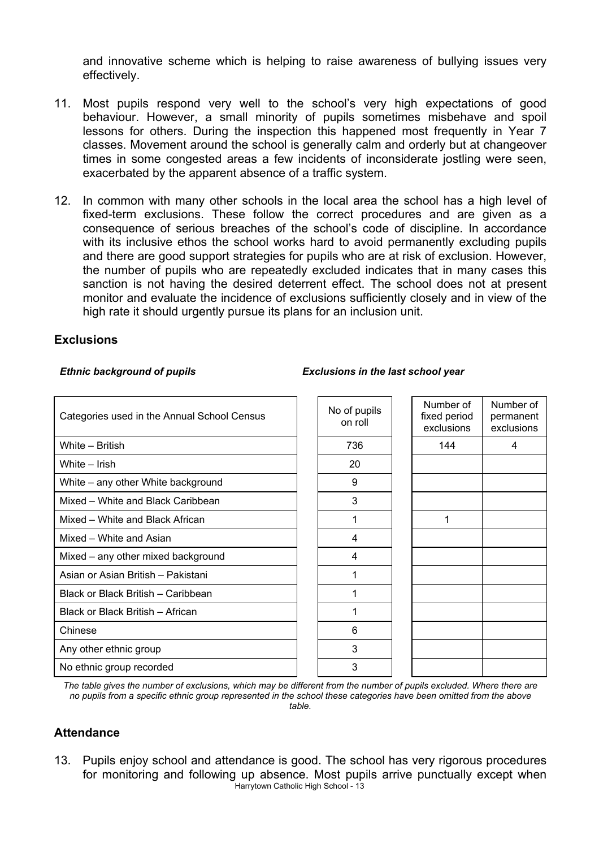and innovative scheme which is helping to raise awareness of bullying issues very effectively.

- 11. Most pupils respond very well to the school's very high expectations of good behaviour. However, a small minority of pupils sometimes misbehave and spoil lessons for others. During the inspection this happened most frequently in Year 7 classes. Movement around the school is generally calm and orderly but at changeover times in some congested areas a few incidents of inconsiderate jostling were seen, exacerbated by the apparent absence of a traffic system.
- 12. In common with many other schools in the local area the school has a high level of fixed-term exclusions. These follow the correct procedures and are given as a consequence of serious breaches of the school's code of discipline. In accordance with its inclusive ethos the school works hard to avoid permanently excluding pupils and there are good support strategies for pupils who are at risk of exclusion. However, the number of pupils who are repeatedly excluded indicates that in many cases this sanction is not having the desired deterrent effect. The school does not at present monitor and evaluate the incidence of exclusions sufficiently closely and in view of the high rate it should urgently pursue its plans for an inclusion unit.

#### **Exclusions**

#### *Ethnic background of pupils Exclusions in the last school year*

| Categories used in the Annual School Census | No of pupils<br>on roll | Number of<br>fixed period<br>exclusions | Number of<br>permanent<br>exclusions |
|---------------------------------------------|-------------------------|-----------------------------------------|--------------------------------------|
| White - British                             | 736                     | 144                                     | 4                                    |
| White – Irish                               | 20                      |                                         |                                      |
| White – any other White background          | 9                       |                                         |                                      |
| Mixed - White and Black Caribbean           | 3                       |                                         |                                      |
| Mixed - White and Black African             | 1                       | 1                                       |                                      |
| Mixed - White and Asian                     | 4                       |                                         |                                      |
| Mixed - any other mixed background          | 4                       |                                         |                                      |
| Asian or Asian British - Pakistani          | 1                       |                                         |                                      |
| Black or Black British - Caribbean          | 1                       |                                         |                                      |
| Black or Black British - African            | 1                       |                                         |                                      |
| Chinese                                     | 6                       |                                         |                                      |
| Any other ethnic group                      | 3                       |                                         |                                      |
| No ethnic group recorded                    | 3                       |                                         |                                      |

*The table gives the number of exclusions, which may be different from the number of pupils excluded. Where there are no pupils from a specific ethnic group represented in the school these categories have been omitted from the above table.*

### **Attendance**

Harrytown Catholic High School - 13 13. Pupils enjoy school and attendance is good. The school has very rigorous procedures for monitoring and following up absence. Most pupils arrive punctually except when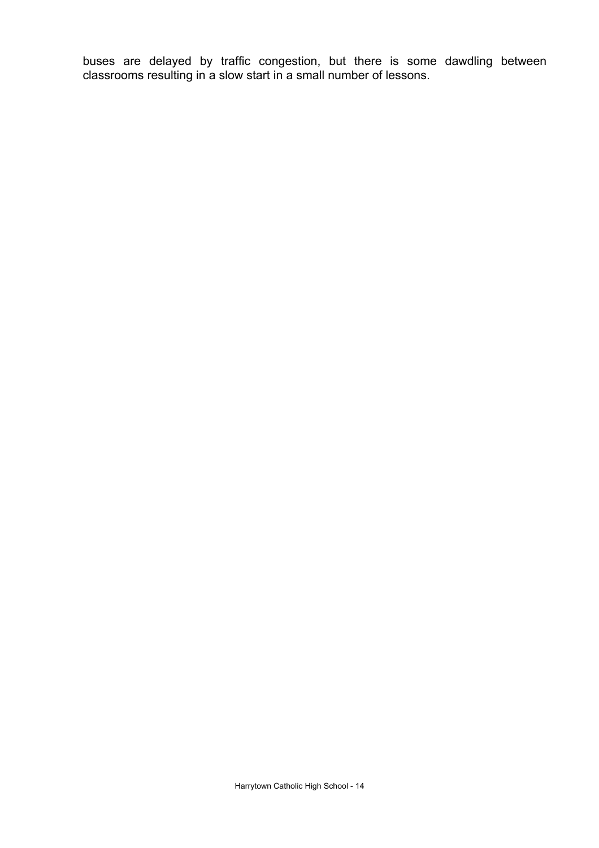buses are delayed by traffic congestion, but there is some dawdling between classrooms resulting in a slow start in a small number of lessons.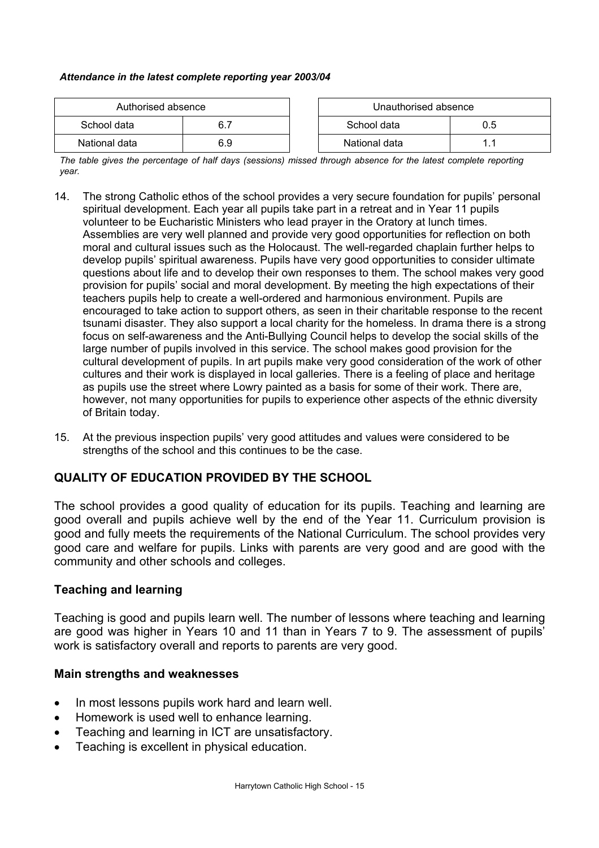#### *Attendance in the latest complete reporting year 2003/04*

| Authorised absence |     | Unauthorised absence |  |
|--------------------|-----|----------------------|--|
| School data        |     | School data<br>0.5   |  |
| National data      | 6.9 | National data        |  |

*The table gives the percentage of half days (sessions) missed through absence for the latest complete reporting year.*

- 14. The strong Catholic ethos of the school provides a very secure foundation for pupils' personal spiritual development. Each year all pupils take part in a retreat and in Year 11 pupils volunteer to be Eucharistic Ministers who lead prayer in the Oratory at lunch times. Assemblies are very well planned and provide very good opportunities for reflection on both moral and cultural issues such as the Holocaust. The well-regarded chaplain further helps to develop pupils' spiritual awareness. Pupils have very good opportunities to consider ultimate questions about life and to develop their own responses to them. The school makes very good provision for pupils' social and moral development. By meeting the high expectations of their teachers pupils help to create a well-ordered and harmonious environment. Pupils are encouraged to take action to support others, as seen in their charitable response to the recent tsunami disaster. They also support a local charity for the homeless. In drama there is a strong focus on self-awareness and the Anti-Bullying Council helps to develop the social skills of the large number of pupils involved in this service. The school makes good provision for the cultural development of pupils. In art pupils make very good consideration of the work of other cultures and their work is displayed in local galleries. There is a feeling of place and heritage as pupils use the street where Lowry painted as a basis for some of their work. There are, however, not many opportunities for pupils to experience other aspects of the ethnic diversity of Britain today.
- 15. At the previous inspection pupils' very good attitudes and values were considered to be strengths of the school and this continues to be the case.

### **QUALITY OF EDUCATION PROVIDED BY THE SCHOOL**

The school provides a good quality of education for its pupils. Teaching and learning are good overall and pupils achieve well by the end of the Year 11. Curriculum provision is good and fully meets the requirements of the National Curriculum. The school provides very good care and welfare for pupils. Links with parents are very good and are good with the community and other schools and colleges.

### **Teaching and learning**

Teaching is good and pupils learn well. The number of lessons where teaching and learning are good was higher in Years 10 and 11 than in Years 7 to 9. The assessment of pupils' work is satisfactory overall and reports to parents are very good.

### **Main strengths and weaknesses**

- In most lessons pupils work hard and learn well.
- Homework is used well to enhance learning.
- Teaching and learning in ICT are unsatisfactory.
- Teaching is excellent in physical education.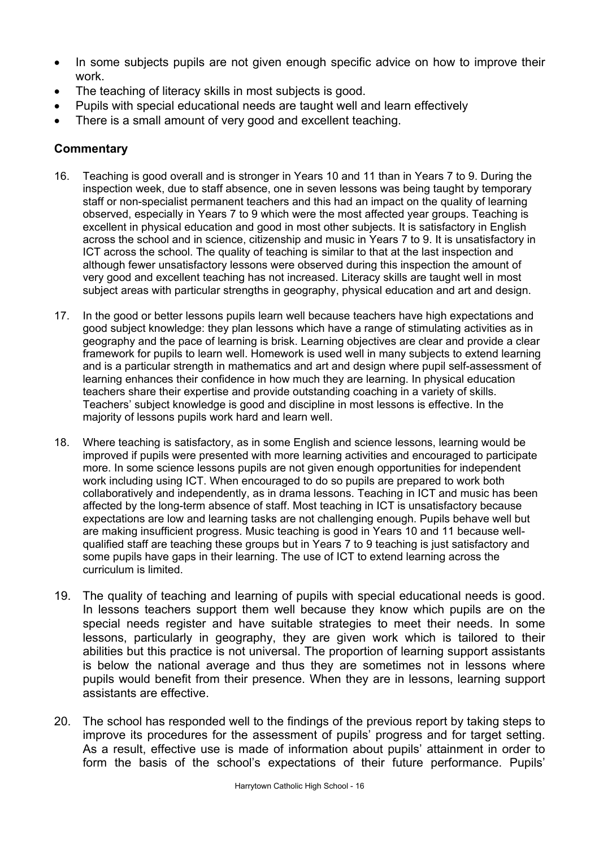- In some subjects pupils are not given enough specific advice on how to improve their work.
- The teaching of literacy skills in most subjects is good.
- Pupils with special educational needs are taught well and learn effectively
- There is a small amount of very good and excellent teaching.

- 16. Teaching is good overall and is stronger in Years 10 and 11 than in Years 7 to 9. During the inspection week, due to staff absence, one in seven lessons was being taught by temporary staff or non-specialist permanent teachers and this had an impact on the quality of learning observed, especially in Years 7 to 9 which were the most affected year groups. Teaching is excellent in physical education and good in most other subjects. It is satisfactory in English across the school and in science, citizenship and music in Years 7 to 9. It is unsatisfactory in ICT across the school. The quality of teaching is similar to that at the last inspection and although fewer unsatisfactory lessons were observed during this inspection the amount of very good and excellent teaching has not increased. Literacy skills are taught well in most subject areas with particular strengths in geography, physical education and art and design.
- 17. In the good or better lessons pupils learn well because teachers have high expectations and good subject knowledge: they plan lessons which have a range of stimulating activities as in geography and the pace of learning is brisk. Learning objectives are clear and provide a clear framework for pupils to learn well. Homework is used well in many subjects to extend learning and is a particular strength in mathematics and art and design where pupil self-assessment of learning enhances their confidence in how much they are learning. In physical education teachers share their expertise and provide outstanding coaching in a variety of skills. Teachers' subject knowledge is good and discipline in most lessons is effective. In the majority of lessons pupils work hard and learn well.
- 18. Where teaching is satisfactory, as in some English and science lessons, learning would be improved if pupils were presented with more learning activities and encouraged to participate more. In some science lessons pupils are not given enough opportunities for independent work including using ICT. When encouraged to do so pupils are prepared to work both collaboratively and independently, as in drama lessons. Teaching in ICT and music has been affected by the long-term absence of staff. Most teaching in ICT is unsatisfactory because expectations are low and learning tasks are not challenging enough. Pupils behave well but are making insufficient progress. Music teaching is good in Years 10 and 11 because wellqualified staff are teaching these groups but in Years 7 to 9 teaching is just satisfactory and some pupils have gaps in their learning. The use of ICT to extend learning across the curriculum is limited.
- 19. The quality of teaching and learning of pupils with special educational needs is good. In lessons teachers support them well because they know which pupils are on the special needs register and have suitable strategies to meet their needs. In some lessons, particularly in geography, they are given work which is tailored to their abilities but this practice is not universal. The proportion of learning support assistants is below the national average and thus they are sometimes not in lessons where pupils would benefit from their presence. When they are in lessons, learning support assistants are effective.
- 20. The school has responded well to the findings of the previous report by taking steps to improve its procedures for the assessment of pupils' progress and for target setting. As a result, effective use is made of information about pupils' attainment in order to form the basis of the school's expectations of their future performance. Pupils'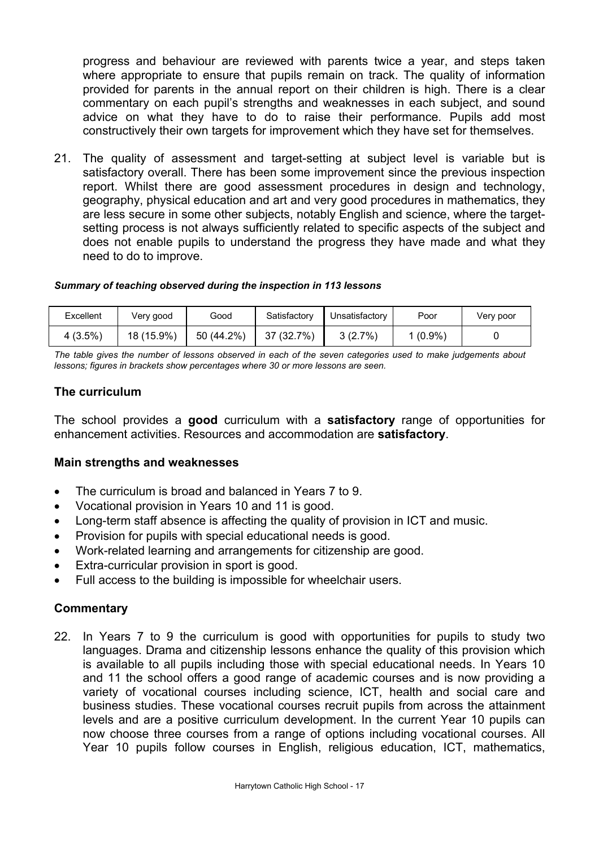progress and behaviour are reviewed with parents twice a year, and steps taken where appropriate to ensure that pupils remain on track. The quality of information provided for parents in the annual report on their children is high. There is a clear commentary on each pupil's strengths and weaknesses in each subject, and sound advice on what they have to do to raise their performance. Pupils add most constructively their own targets for improvement which they have set for themselves.

21. The quality of assessment and target-setting at subject level is variable but is satisfactory overall. There has been some improvement since the previous inspection report. Whilst there are good assessment procedures in design and technology, geography, physical education and art and very good procedures in mathematics, they are less secure in some other subjects, notably English and science, where the targetsetting process is not always sufficiently related to specific aspects of the subject and does not enable pupils to understand the progress they have made and what they need to do to improve.

#### *Summary of teaching observed during the inspection in 113 lessons*

| Excellent | Verv good  | Good       | Satisfactory | Unsatisfactory | Poor      | Very poor |
|-----------|------------|------------|--------------|----------------|-----------|-----------|
| 4(3.5%)   | 18 (15.9%) | 50 (44.2%) | 37 (32.7%)   | 3(2.7%)        | $(0.9\%)$ |           |

*The table gives the number of lessons observed in each of the seven categories used to make judgements about lessons; figures in brackets show percentages where 30 or more lessons are seen.* 

#### **The curriculum**

The school provides a **good** curriculum with a **satisfactory** range of opportunities for enhancement activities. Resources and accommodation are **satisfactory**.

### **Main strengths and weaknesses**

- The curriculum is broad and balanced in Years 7 to 9.
- Vocational provision in Years 10 and 11 is good.
- Long-term staff absence is affecting the quality of provision in ICT and music.
- Provision for pupils with special educational needs is good.
- Work-related learning and arrangements for citizenship are good.
- Extra-curricular provision in sport is good.
- Full access to the building is impossible for wheelchair users.

#### **Commentary**

22. In Years 7 to 9 the curriculum is good with opportunities for pupils to study two languages. Drama and citizenship lessons enhance the quality of this provision which is available to all pupils including those with special educational needs. In Years 10 and 11 the school offers a good range of academic courses and is now providing a variety of vocational courses including science, ICT, health and social care and business studies. These vocational courses recruit pupils from across the attainment levels and are a positive curriculum development. In the current Year 10 pupils can now choose three courses from a range of options including vocational courses. All Year 10 pupils follow courses in English, religious education, ICT, mathematics,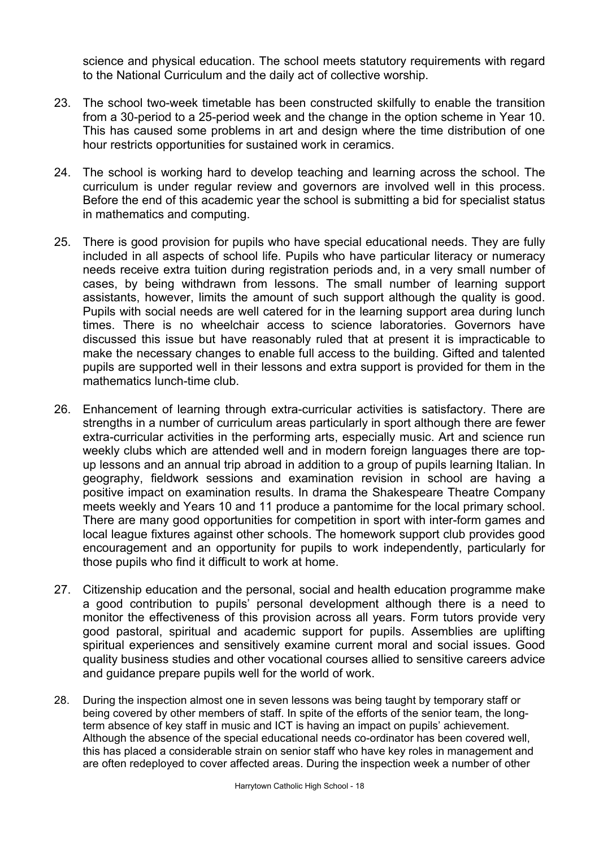science and physical education. The school meets statutory requirements with regard to the National Curriculum and the daily act of collective worship.

- 23. The school two-week timetable has been constructed skilfully to enable the transition from a 30-period to a 25-period week and the change in the option scheme in Year 10. This has caused some problems in art and design where the time distribution of one hour restricts opportunities for sustained work in ceramics.
- 24. The school is working hard to develop teaching and learning across the school. The curriculum is under regular review and governors are involved well in this process. Before the end of this academic year the school is submitting a bid for specialist status in mathematics and computing.
- 25. There is good provision for pupils who have special educational needs. They are fully included in all aspects of school life. Pupils who have particular literacy or numeracy needs receive extra tuition during registration periods and, in a very small number of cases, by being withdrawn from lessons. The small number of learning support assistants, however, limits the amount of such support although the quality is good. Pupils with social needs are well catered for in the learning support area during lunch times. There is no wheelchair access to science laboratories. Governors have discussed this issue but have reasonably ruled that at present it is impracticable to make the necessary changes to enable full access to the building. Gifted and talented pupils are supported well in their lessons and extra support is provided for them in the mathematics lunch-time club.
- 26. Enhancement of learning through extra-curricular activities is satisfactory. There are strengths in a number of curriculum areas particularly in sport although there are fewer extra-curricular activities in the performing arts, especially music. Art and science run weekly clubs which are attended well and in modern foreign languages there are topup lessons and an annual trip abroad in addition to a group of pupils learning Italian. In geography, fieldwork sessions and examination revision in school are having a positive impact on examination results. In drama the Shakespeare Theatre Company meets weekly and Years 10 and 11 produce a pantomime for the local primary school. There are many good opportunities for competition in sport with inter-form games and local league fixtures against other schools. The homework support club provides good encouragement and an opportunity for pupils to work independently, particularly for those pupils who find it difficult to work at home.
- 27. Citizenship education and the personal, social and health education programme make a good contribution to pupils' personal development although there is a need to monitor the effectiveness of this provision across all years. Form tutors provide very good pastoral, spiritual and academic support for pupils. Assemblies are uplifting spiritual experiences and sensitively examine current moral and social issues. Good quality business studies and other vocational courses allied to sensitive careers advice and guidance prepare pupils well for the world of work.
- 28. During the inspection almost one in seven lessons was being taught by temporary staff or being covered by other members of staff. In spite of the efforts of the senior team, the longterm absence of key staff in music and ICT is having an impact on pupils' achievement. Although the absence of the special educational needs co-ordinator has been covered well, this has placed a considerable strain on senior staff who have key roles in management and are often redeployed to cover affected areas. During the inspection week a number of other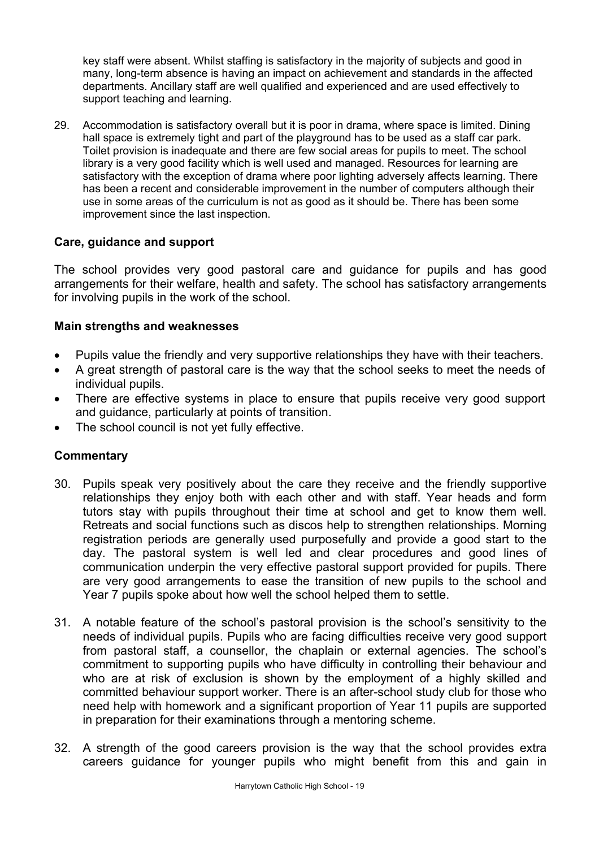key staff were absent. Whilst staffing is satisfactory in the majority of subjects and good in many, long-term absence is having an impact on achievement and standards in the affected departments. Ancillary staff are well qualified and experienced and are used effectively to support teaching and learning.

29. Accommodation is satisfactory overall but it is poor in drama, where space is limited. Dining hall space is extremely tight and part of the playground has to be used as a staff car park. Toilet provision is inadequate and there are few social areas for pupils to meet. The school library is a very good facility which is well used and managed. Resources for learning are satisfactory with the exception of drama where poor lighting adversely affects learning. There has been a recent and considerable improvement in the number of computers although their use in some areas of the curriculum is not as good as it should be. There has been some improvement since the last inspection.

## **Care, guidance and support**

The school provides very good pastoral care and guidance for pupils and has good arrangements for their welfare, health and safety. The school has satisfactory arrangements for involving pupils in the work of the school.

## **Main strengths and weaknesses**

- Pupils value the friendly and very supportive relationships they have with their teachers.
- A great strength of pastoral care is the way that the school seeks to meet the needs of individual pupils.
- There are effective systems in place to ensure that pupils receive very good support and guidance, particularly at points of transition.
- The school council is not yet fully effective.

- 30. Pupils speak very positively about the care they receive and the friendly supportive relationships they enjoy both with each other and with staff. Year heads and form tutors stay with pupils throughout their time at school and get to know them well. Retreats and social functions such as discos help to strengthen relationships. Morning registration periods are generally used purposefully and provide a good start to the day. The pastoral system is well led and clear procedures and good lines of communication underpin the very effective pastoral support provided for pupils. There are very good arrangements to ease the transition of new pupils to the school and Year 7 pupils spoke about how well the school helped them to settle.
- 31. A notable feature of the school's pastoral provision is the school's sensitivity to the needs of individual pupils. Pupils who are facing difficulties receive very good support from pastoral staff, a counsellor, the chaplain or external agencies. The school's commitment to supporting pupils who have difficulty in controlling their behaviour and who are at risk of exclusion is shown by the employment of a highly skilled and committed behaviour support worker. There is an after-school study club for those who need help with homework and a significant proportion of Year 11 pupils are supported in preparation for their examinations through a mentoring scheme.
- 32. A strength of the good careers provision is the way that the school provides extra careers guidance for younger pupils who might benefit from this and gain in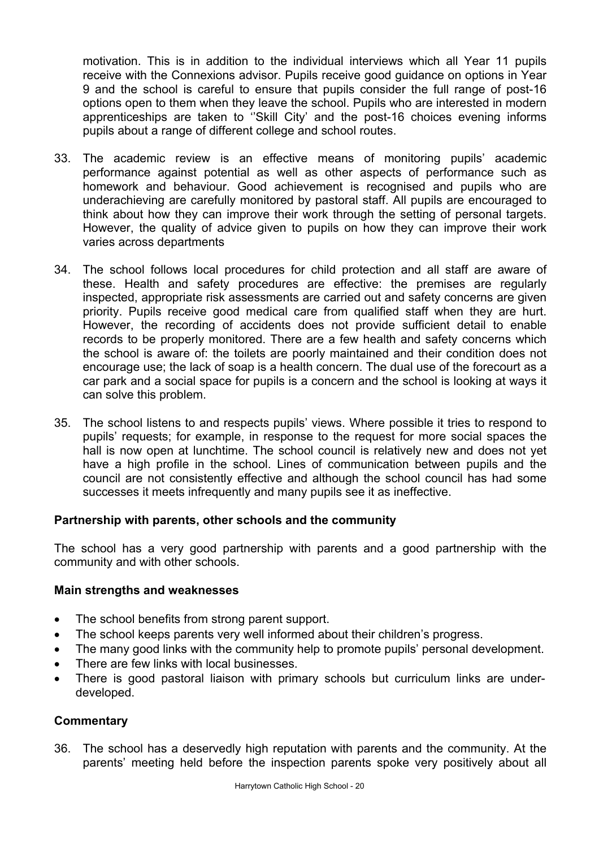motivation. This is in addition to the individual interviews which all Year 11 pupils receive with the Connexions advisor. Pupils receive good guidance on options in Year 9 and the school is careful to ensure that pupils consider the full range of post-16 options open to them when they leave the school. Pupils who are interested in modern apprenticeships are taken to ''Skill City' and the post-16 choices evening informs pupils about a range of different college and school routes.

- 33. The academic review is an effective means of monitoring pupils' academic performance against potential as well as other aspects of performance such as homework and behaviour. Good achievement is recognised and pupils who are underachieving are carefully monitored by pastoral staff. All pupils are encouraged to think about how they can improve their work through the setting of personal targets. However, the quality of advice given to pupils on how they can improve their work varies across departments
- 34. The school follows local procedures for child protection and all staff are aware of these. Health and safety procedures are effective: the premises are regularly inspected, appropriate risk assessments are carried out and safety concerns are given priority. Pupils receive good medical care from qualified staff when they are hurt. However, the recording of accidents does not provide sufficient detail to enable records to be properly monitored. There are a few health and safety concerns which the school is aware of: the toilets are poorly maintained and their condition does not encourage use; the lack of soap is a health concern. The dual use of the forecourt as a car park and a social space for pupils is a concern and the school is looking at ways it can solve this problem.
- 35. The school listens to and respects pupils' views. Where possible it tries to respond to pupils' requests; for example, in response to the request for more social spaces the hall is now open at lunchtime. The school council is relatively new and does not yet have a high profile in the school. Lines of communication between pupils and the council are not consistently effective and although the school council has had some successes it meets infrequently and many pupils see it as ineffective.

### **Partnership with parents, other schools and the community**

The school has a very good partnership with parents and a good partnership with the community and with other schools.

### **Main strengths and weaknesses**

- The school benefits from strong parent support.
- The school keeps parents very well informed about their children's progress.
- The many good links with the community help to promote pupils' personal development.
- There are few links with local businesses.
- There is good pastoral liaison with primary schools but curriculum links are underdeveloped.

## **Commentary**

36. The school has a deservedly high reputation with parents and the community. At the parents' meeting held before the inspection parents spoke very positively about all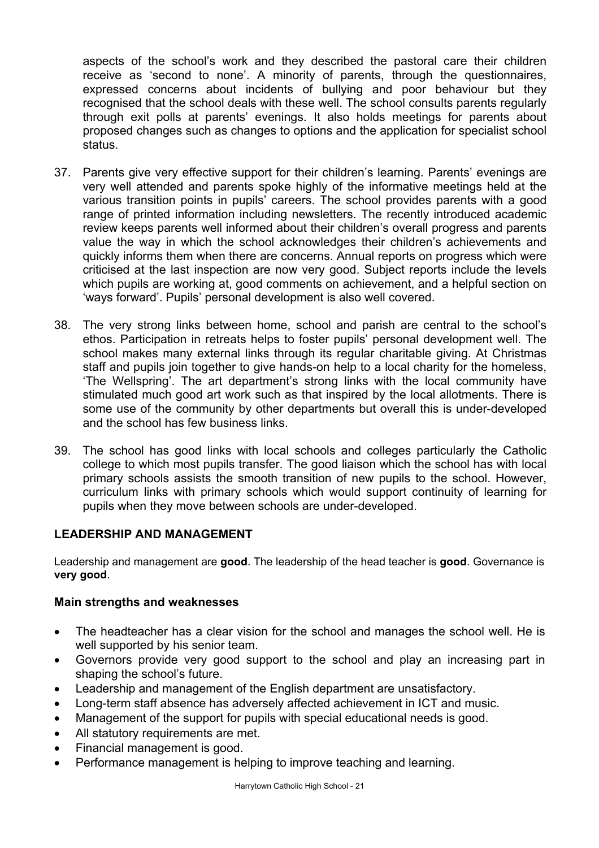aspects of the school's work and they described the pastoral care their children receive as 'second to none'. A minority of parents, through the questionnaires, expressed concerns about incidents of bullying and poor behaviour but they recognised that the school deals with these well. The school consults parents regularly through exit polls at parents' evenings. It also holds meetings for parents about proposed changes such as changes to options and the application for specialist school status.

- 37. Parents give very effective support for their children's learning. Parents' evenings are very well attended and parents spoke highly of the informative meetings held at the various transition points in pupils' careers. The school provides parents with a good range of printed information including newsletters. The recently introduced academic review keeps parents well informed about their children's overall progress and parents value the way in which the school acknowledges their children's achievements and quickly informs them when there are concerns. Annual reports on progress which were criticised at the last inspection are now very good. Subject reports include the levels which pupils are working at, good comments on achievement, and a helpful section on 'ways forward'. Pupils' personal development is also well covered.
- 38. The very strong links between home, school and parish are central to the school's ethos. Participation in retreats helps to foster pupils' personal development well. The school makes many external links through its regular charitable giving. At Christmas staff and pupils join together to give hands-on help to a local charity for the homeless, 'The Wellspring'. The art department's strong links with the local community have stimulated much good art work such as that inspired by the local allotments. There is some use of the community by other departments but overall this is under-developed and the school has few business links.
- 39. The school has good links with local schools and colleges particularly the Catholic college to which most pupils transfer. The good liaison which the school has with local primary schools assists the smooth transition of new pupils to the school. However, curriculum links with primary schools which would support continuity of learning for pupils when they move between schools are under-developed.

## **LEADERSHIP AND MANAGEMENT**

Leadership and management are **good**. The leadership of the head teacher is **good**. Governance is **very good**.

### **Main strengths and weaknesses**

- The headteacher has a clear vision for the school and manages the school well. He is well supported by his senior team.
- Governors provide very good support to the school and play an increasing part in shaping the school's future.
- Leadership and management of the English department are unsatisfactory.
- Long-term staff absence has adversely affected achievement in ICT and music.
- Management of the support for pupils with special educational needs is good.
- All statutory requirements are met.
- Financial management is good.
- Performance management is helping to improve teaching and learning.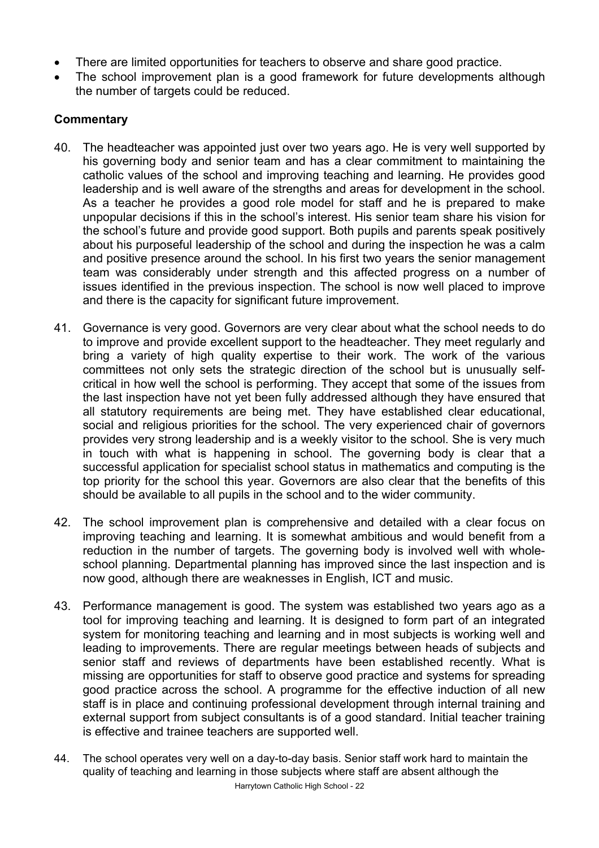- There are limited opportunities for teachers to observe and share good practice.
- The school improvement plan is a good framework for future developments although the number of targets could be reduced.

- 40. The headteacher was appointed just over two years ago. He is very well supported by his governing body and senior team and has a clear commitment to maintaining the catholic values of the school and improving teaching and learning. He provides good leadership and is well aware of the strengths and areas for development in the school. As a teacher he provides a good role model for staff and he is prepared to make unpopular decisions if this in the school's interest. His senior team share his vision for the school's future and provide good support. Both pupils and parents speak positively about his purposeful leadership of the school and during the inspection he was a calm and positive presence around the school. In his first two years the senior management team was considerably under strength and this affected progress on a number of issues identified in the previous inspection. The school is now well placed to improve and there is the capacity for significant future improvement.
- 41. Governance is very good. Governors are very clear about what the school needs to do to improve and provide excellent support to the headteacher. They meet regularly and bring a variety of high quality expertise to their work. The work of the various committees not only sets the strategic direction of the school but is unusually selfcritical in how well the school is performing. They accept that some of the issues from the last inspection have not yet been fully addressed although they have ensured that all statutory requirements are being met. They have established clear educational, social and religious priorities for the school. The very experienced chair of governors provides very strong leadership and is a weekly visitor to the school. She is very much in touch with what is happening in school. The governing body is clear that a successful application for specialist school status in mathematics and computing is the top priority for the school this year. Governors are also clear that the benefits of this should be available to all pupils in the school and to the wider community.
- 42. The school improvement plan is comprehensive and detailed with a clear focus on improving teaching and learning. It is somewhat ambitious and would benefit from a reduction in the number of targets. The governing body is involved well with wholeschool planning. Departmental planning has improved since the last inspection and is now good, although there are weaknesses in English, ICT and music.
- 43. Performance management is good. The system was established two years ago as a tool for improving teaching and learning. It is designed to form part of an integrated system for monitoring teaching and learning and in most subjects is working well and leading to improvements. There are regular meetings between heads of subjects and senior staff and reviews of departments have been established recently. What is missing are opportunities for staff to observe good practice and systems for spreading good practice across the school. A programme for the effective induction of all new staff is in place and continuing professional development through internal training and external support from subject consultants is of a good standard. Initial teacher training is effective and trainee teachers are supported well.
- Harrytown Catholic High School 22 44. The school operates very well on a day-to-day basis. Senior staff work hard to maintain the quality of teaching and learning in those subjects where staff are absent although the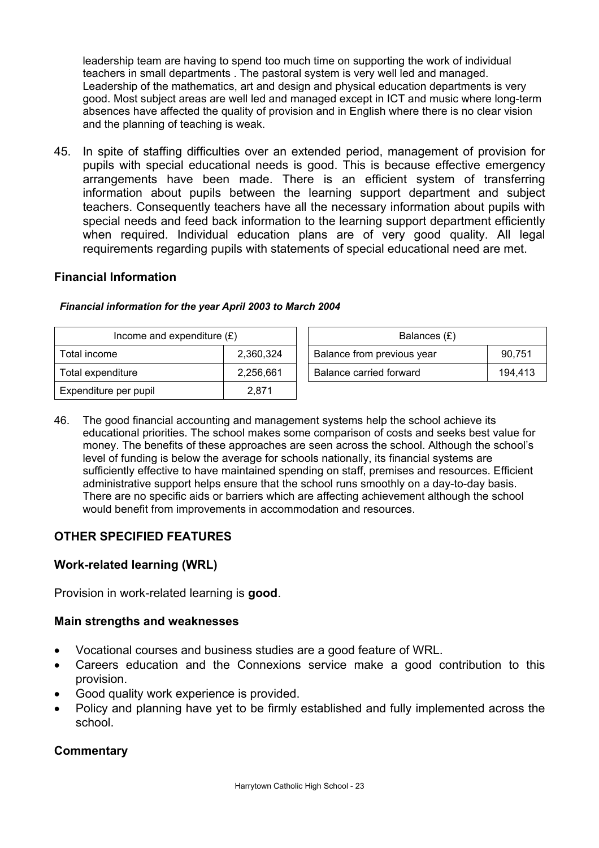leadership team are having to spend too much time on supporting the work of individual teachers in small departments . The pastoral system is very well led and managed. Leadership of the mathematics, art and design and physical education departments is very good. Most subject areas are well led and managed except in ICT and music where long-term absences have affected the quality of provision and in English where there is no clear vision and the planning of teaching is weak.

45. In spite of staffing difficulties over an extended period, management of provision for pupils with special educational needs is good. This is because effective emergency arrangements have been made. There is an efficient system of transferring information about pupils between the learning support department and subject teachers. Consequently teachers have all the necessary information about pupils with special needs and feed back information to the learning support department efficiently when required. Individual education plans are of very good quality. All legal requirements regarding pupils with statements of special educational need are met.

## **Financial Information**

| Income and expenditure $(E)$ |           | Balances (£)               |         |
|------------------------------|-----------|----------------------------|---------|
| Total income                 | 2.360.324 | Balance from previous year | 90,751  |
| Total expenditure            | 2,256,661 | Balance carried forward    | 194,413 |
| Expenditure per pupil        | 2.871     |                            |         |

#### *Financial information for the year April 2003 to March 2004*

46. The good financial accounting and management systems help the school achieve its educational priorities. The school makes some comparison of costs and seeks best value for money. The benefits of these approaches are seen across the school. Although the school's level of funding is below the average for schools nationally, its financial systems are sufficiently effective to have maintained spending on staff, premises and resources. Efficient administrative support helps ensure that the school runs smoothly on a day-to-day basis. There are no specific aids or barriers which are affecting achievement although the school would benefit from improvements in accommodation and resources.

## **OTHER SPECIFIED FEATURES**

## **Work-related learning (WRL)**

Provision in work-related learning is **good**.

## **Main strengths and weaknesses**

- Vocational courses and business studies are a good feature of WRL.
- Careers education and the Connexions service make a good contribution to this provision.
- Good quality work experience is provided.
- Policy and planning have yet to be firmly established and fully implemented across the school.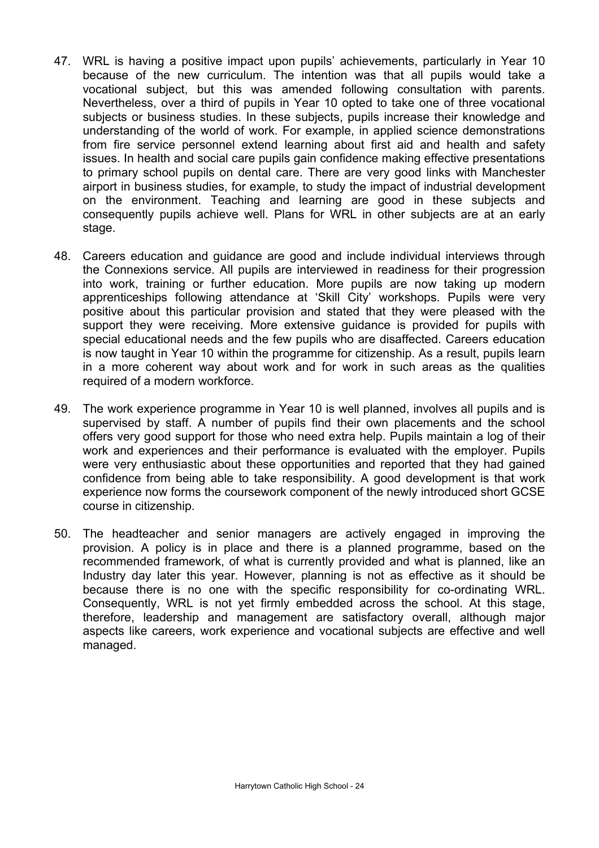- 47. WRL is having a positive impact upon pupils' achievements, particularly in Year 10 because of the new curriculum. The intention was that all pupils would take a vocational subject, but this was amended following consultation with parents. Nevertheless, over a third of pupils in Year 10 opted to take one of three vocational subjects or business studies. In these subjects, pupils increase their knowledge and understanding of the world of work. For example, in applied science demonstrations from fire service personnel extend learning about first aid and health and safety issues. In health and social care pupils gain confidence making effective presentations to primary school pupils on dental care. There are very good links with Manchester airport in business studies, for example, to study the impact of industrial development on the environment. Teaching and learning are good in these subjects and consequently pupils achieve well. Plans for WRL in other subjects are at an early stage.
- 48. Careers education and guidance are good and include individual interviews through the Connexions service. All pupils are interviewed in readiness for their progression into work, training or further education. More pupils are now taking up modern apprenticeships following attendance at 'Skill City' workshops. Pupils were very positive about this particular provision and stated that they were pleased with the support they were receiving. More extensive guidance is provided for pupils with special educational needs and the few pupils who are disaffected. Careers education is now taught in Year 10 within the programme for citizenship. As a result, pupils learn in a more coherent way about work and for work in such areas as the qualities required of a modern workforce.
- 49. The work experience programme in Year 10 is well planned, involves all pupils and is supervised by staff. A number of pupils find their own placements and the school offers very good support for those who need extra help. Pupils maintain a log of their work and experiences and their performance is evaluated with the employer. Pupils were very enthusiastic about these opportunities and reported that they had gained confidence from being able to take responsibility. A good development is that work experience now forms the coursework component of the newly introduced short GCSE course in citizenship.
- 50. The headteacher and senior managers are actively engaged in improving the provision. A policy is in place and there is a planned programme, based on the recommended framework, of what is currently provided and what is planned, like an Industry day later this year. However, planning is not as effective as it should be because there is no one with the specific responsibility for co-ordinating WRL. Consequently, WRL is not yet firmly embedded across the school. At this stage, therefore, leadership and management are satisfactory overall, although major aspects like careers, work experience and vocational subjects are effective and well managed.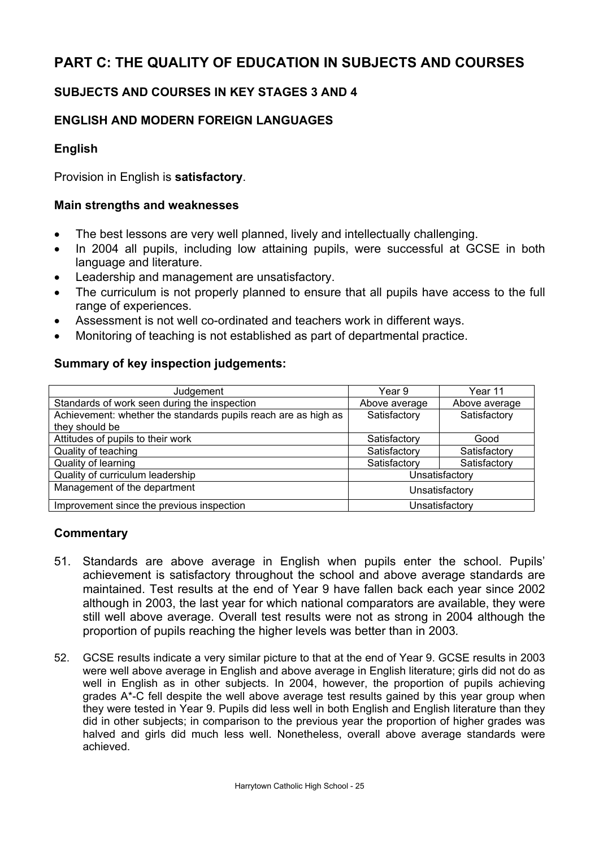# **PART C: THE QUALITY OF EDUCATION IN SUBJECTS AND COURSES**

## **SUBJECTS AND COURSES IN KEY STAGES 3 AND 4**

## **ENGLISH AND MODERN FOREIGN LANGUAGES**

## **English**

Provision in English is **satisfactory**.

### **Main strengths and weaknesses**

- The best lessons are very well planned, lively and intellectually challenging.
- In 2004 all pupils, including low attaining pupils, were successful at GCSE in both language and literature.
- Leadership and management are unsatisfactory.
- The curriculum is not properly planned to ensure that all pupils have access to the full range of experiences.
- Assessment is not well co-ordinated and teachers work in different ways.
- Monitoring of teaching is not established as part of departmental practice.

### **Summary of key inspection judgements:**

| Judgement                                                      | Year 9         | Year 11       |
|----------------------------------------------------------------|----------------|---------------|
| Standards of work seen during the inspection                   | Above average  | Above average |
| Achievement: whether the standards pupils reach are as high as | Satisfactory   | Satisfactory  |
| they should be                                                 |                |               |
| Attitudes of pupils to their work                              | Satisfactory   | Good          |
| Quality of teaching                                            | Satisfactory   | Satisfactory  |
| Quality of learning                                            | Satisfactory   | Satisfactory  |
| Quality of curriculum leadership                               | Unsatisfactory |               |
| Management of the department                                   | Unsatisfactory |               |
| Improvement since the previous inspection<br>Unsatisfactory    |                |               |

- 51. Standards are above average in English when pupils enter the school. Pupils' achievement is satisfactory throughout the school and above average standards are maintained. Test results at the end of Year 9 have fallen back each year since 2002 although in 2003, the last year for which national comparators are available, they were still well above average. Overall test results were not as strong in 2004 although the proportion of pupils reaching the higher levels was better than in 2003*.*
- 52. GCSE results indicate a very similar picture to that at the end of Year 9. GCSE results in 2003 were well above average in English and above average in English literature; girls did not do as well in English as in other subjects. In 2004, however, the proportion of pupils achieving grades A\*-C fell despite the well above average test results gained by this year group when they were tested in Year 9. Pupils did less well in both English and English literature than they did in other subjects; in comparison to the previous year the proportion of higher grades was halved and girls did much less well. Nonetheless, overall above average standards were achieved.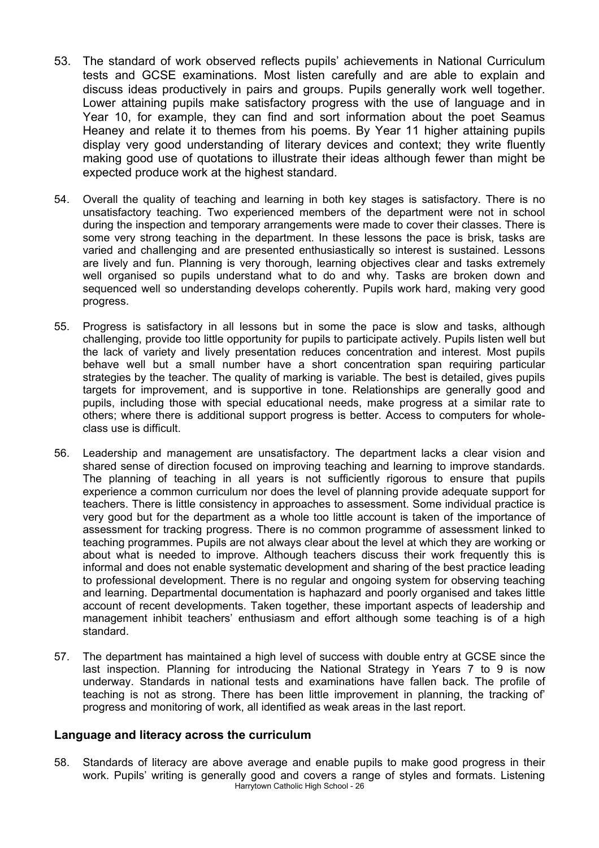- 53. The standard of work observed reflects pupils' achievements in National Curriculum tests and GCSE examinations. Most listen carefully and are able to explain and discuss ideas productively in pairs and groups. Pupils generally work well together. Lower attaining pupils make satisfactory progress with the use of language and in Year 10, for example, they can find and sort information about the poet Seamus Heaney and relate it to themes from his poems. By Year 11 higher attaining pupils display very good understanding of literary devices and context; they write fluently making good use of quotations to illustrate their ideas although fewer than might be expected produce work at the highest standard.
- 54. Overall the quality of teaching and learning in both key stages is satisfactory. There is no unsatisfactory teaching. Two experienced members of the department were not in school during the inspection and temporary arrangements were made to cover their classes. There is some very strong teaching in the department. In these lessons the pace is brisk, tasks are varied and challenging and are presented enthusiastically so interest is sustained. Lessons are lively and fun. Planning is very thorough, learning objectives clear and tasks extremely well organised so pupils understand what to do and why. Tasks are broken down and sequenced well so understanding develops coherently. Pupils work hard, making very good progress.
- 55. Progress is satisfactory in all lessons but in some the pace is slow and tasks, although challenging, provide too little opportunity for pupils to participate actively. Pupils listen well but the lack of variety and lively presentation reduces concentration and interest. Most pupils behave well but a small number have a short concentration span requiring particular strategies by the teacher. The quality of marking is variable. The best is detailed, gives pupils targets for improvement, and is supportive in tone. Relationships are generally good and pupils, including those with special educational needs, make progress at a similar rate to others; where there is additional support progress is better. Access to computers for wholeclass use is difficult.
- 56. Leadership and management are unsatisfactory. The department lacks a clear vision and shared sense of direction focused on improving teaching and learning to improve standards. The planning of teaching in all years is not sufficiently rigorous to ensure that pupils experience a common curriculum nor does the level of planning provide adequate support for teachers. There is little consistency in approaches to assessment. Some individual practice is very good but for the department as a whole too little account is taken of the importance of assessment for tracking progress. There is no common programme of assessment linked to teaching programmes. Pupils are not always clear about the level at which they are working or about what is needed to improve. Although teachers discuss their work frequently this is informal and does not enable systematic development and sharing of the best practice leading to professional development. There is no regular and ongoing system for observing teaching and learning. Departmental documentation is haphazard and poorly organised and takes little account of recent developments. Taken together, these important aspects of leadership and management inhibit teachers' enthusiasm and effort although some teaching is of a high standard.
- 57. The department has maintained a high level of success with double entry at GCSE since the last inspection. Planning for introducing the National Strategy in Years 7 to 9 is now underway. Standards in national tests and examinations have fallen back. The profile of teaching is not as strong. There has been little improvement in planning, the tracking of' progress and monitoring of work, all identified as weak areas in the last report.

#### **Language and literacy across the curriculum**

Harrytown Catholic High School - 26 58. Standards of literacy are above average and enable pupils to make good progress in their work. Pupils' writing is generally good and covers a range of styles and formats. Listening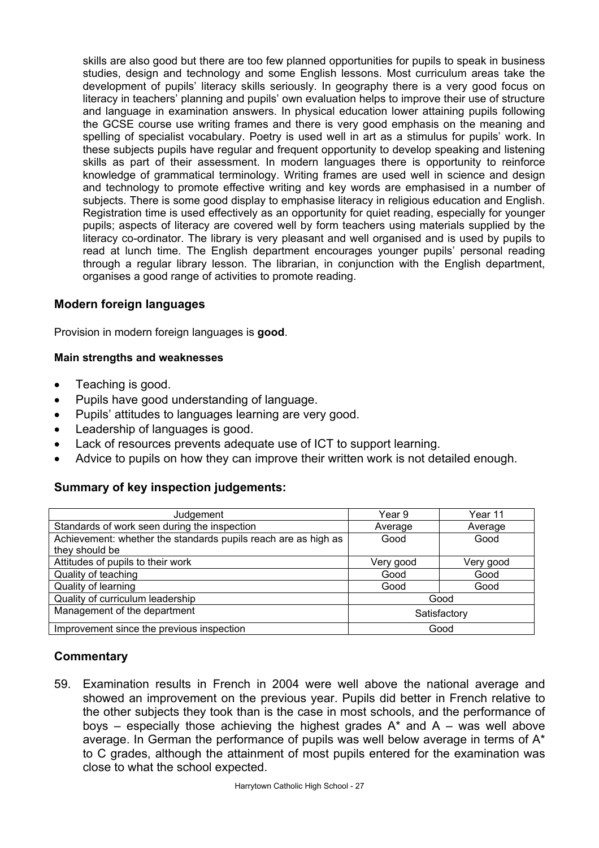skills are also good but there are too few planned opportunities for pupils to speak in business studies, design and technology and some English lessons. Most curriculum areas take the development of pupils' literacy skills seriously. In geography there is a very good focus on literacy in teachers' planning and pupils' own evaluation helps to improve their use of structure and language in examination answers. In physical education lower attaining pupils following the GCSE course use writing frames and there is very good emphasis on the meaning and spelling of specialist vocabulary. Poetry is used well in art as a stimulus for pupils' work. In these subjects pupils have regular and frequent opportunity to develop speaking and listening skills as part of their assessment. In modern languages there is opportunity to reinforce knowledge of grammatical terminology. Writing frames are used well in science and design and technology to promote effective writing and key words are emphasised in a number of subjects. There is some good display to emphasise literacy in religious education and English. Registration time is used effectively as an opportunity for quiet reading, especially for younger pupils; aspects of literacy are covered well by form teachers using materials supplied by the literacy co-ordinator. The library is very pleasant and well organised and is used by pupils to read at lunch time. The English department encourages younger pupils' personal reading through a regular library lesson. The librarian, in conjunction with the English department, organises a good range of activities to promote reading.

## **Modern foreign languages**

Provision in modern foreign languages is **good**.

#### **Main strengths and weaknesses**

- Teaching is good.
- Pupils have good understanding of language.
- Pupils' attitudes to languages learning are very good.
- Leadership of languages is good.
- Lack of resources prevents adequate use of ICT to support learning.
- Advice to pupils on how they can improve their written work is not detailed enough.

## **Summary of key inspection judgements:**

| Judgement                                                      | Year 9       | Year 11   |
|----------------------------------------------------------------|--------------|-----------|
| Standards of work seen during the inspection                   | Average      | Average   |
| Achievement: whether the standards pupils reach are as high as | Good         | Good      |
| they should be                                                 |              |           |
| Attitudes of pupils to their work                              | Very good    | Very good |
| Quality of teaching                                            | Good         | Good      |
| Quality of learning                                            | Good         | Good      |
| Quality of curriculum leadership                               | Good         |           |
| Management of the department                                   | Satisfactory |           |
| Improvement since the previous inspection                      | Good         |           |

### **Commentary**

59. Examination results in French in 2004 were well above the national average and showed an improvement on the previous year. Pupils did better in French relative to the other subjects they took than is the case in most schools, and the performance of boys – especially those achieving the highest grades  $A^*$  and  $A$  – was well above average. In German the performance of pupils was well below average in terms of A\* to C grades, although the attainment of most pupils entered for the examination was close to what the school expected.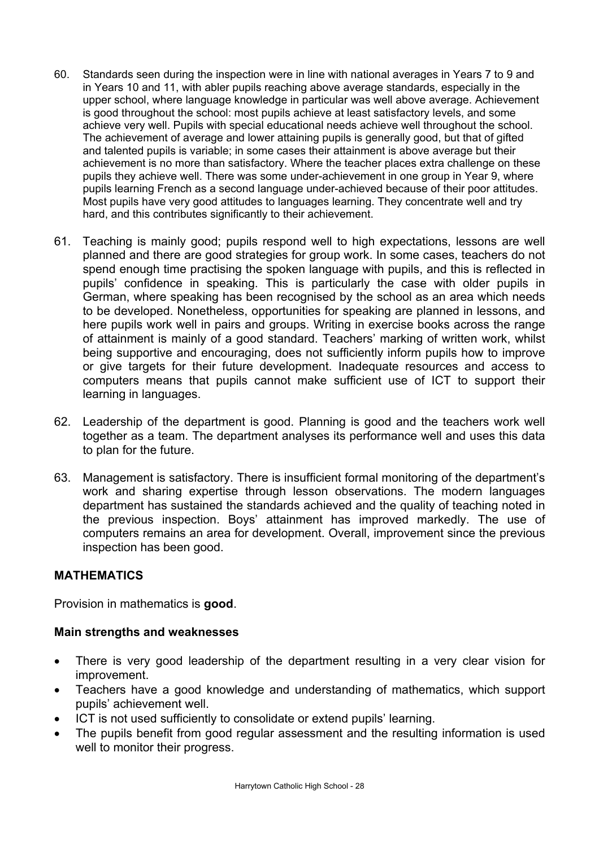- 60. Standards seen during the inspection were in line with national averages in Years 7 to 9 and in Years 10 and 11, with abler pupils reaching above average standards, especially in the upper school, where language knowledge in particular was well above average. Achievement is good throughout the school: most pupils achieve at least satisfactory levels, and some achieve very well. Pupils with special educational needs achieve well throughout the school. The achievement of average and lower attaining pupils is generally good, but that of gifted and talented pupils is variable; in some cases their attainment is above average but their achievement is no more than satisfactory. Where the teacher places extra challenge on these pupils they achieve well. There was some under-achievement in one group in Year 9, where pupils learning French as a second language under-achieved because of their poor attitudes. Most pupils have very good attitudes to languages learning. They concentrate well and try hard, and this contributes significantly to their achievement.
- 61. Teaching is mainly good; pupils respond well to high expectations, lessons are well planned and there are good strategies for group work. In some cases, teachers do not spend enough time practising the spoken language with pupils, and this is reflected in pupils' confidence in speaking. This is particularly the case with older pupils in German, where speaking has been recognised by the school as an area which needs to be developed. Nonetheless, opportunities for speaking are planned in lessons, and here pupils work well in pairs and groups. Writing in exercise books across the range of attainment is mainly of a good standard. Teachers' marking of written work, whilst being supportive and encouraging, does not sufficiently inform pupils how to improve or give targets for their future development. Inadequate resources and access to computers means that pupils cannot make sufficient use of ICT to support their learning in languages.
- 62. Leadership of the department is good. Planning is good and the teachers work well together as a team. The department analyses its performance well and uses this data to plan for the future.
- 63. Management is satisfactory. There is insufficient formal monitoring of the department's work and sharing expertise through lesson observations. The modern languages department has sustained the standards achieved and the quality of teaching noted in the previous inspection. Boys' attainment has improved markedly. The use of computers remains an area for development. Overall, improvement since the previous inspection has been good.

## **MATHEMATICS**

Provision in mathematics is **good**.

### **Main strengths and weaknesses**

- There is very good leadership of the department resulting in a very clear vision for improvement.
- Teachers have a good knowledge and understanding of mathematics, which support pupils' achievement well.
- ICT is not used sufficiently to consolidate or extend pupils' learning.
- The pupils benefit from good regular assessment and the resulting information is used well to monitor their progress.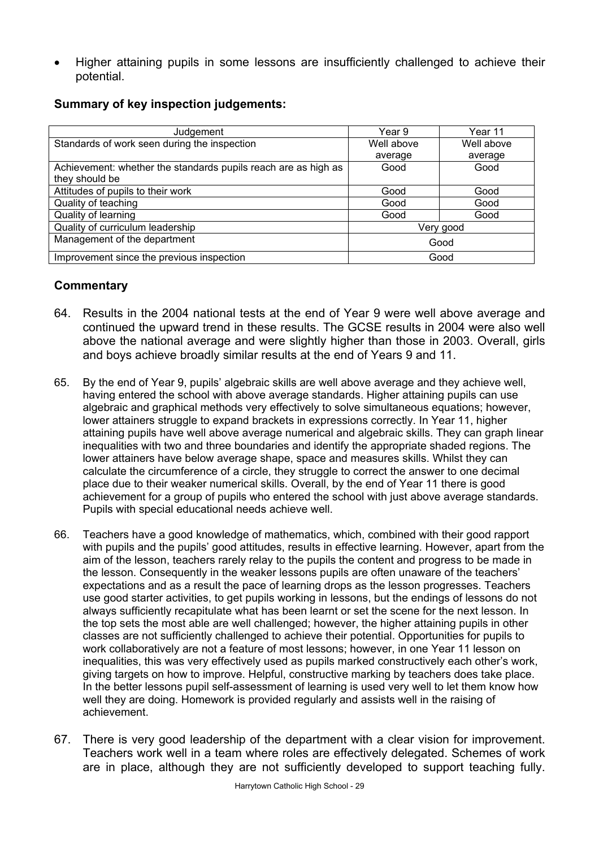• Higher attaining pupils in some lessons are insufficiently challenged to achieve their potential.

|  |  |  | <b>Summary of key inspection judgements:</b> |
|--|--|--|----------------------------------------------|
|--|--|--|----------------------------------------------|

| Judgement                                                      | Year 9     | Year 11    |
|----------------------------------------------------------------|------------|------------|
| Standards of work seen during the inspection                   | Well above | Well above |
|                                                                | average    | average    |
| Achievement: whether the standards pupils reach are as high as | Good       | Good       |
| they should be                                                 |            |            |
| Attitudes of pupils to their work                              | Good       | Good       |
| Quality of teaching                                            | Good       | Good       |
| Quality of learning                                            | Good       | Good       |
| Quality of curriculum leadership                               | Very good  |            |
| Management of the department                                   | Good       |            |
| Improvement since the previous inspection                      |            | Good       |

- 64. Results in the 2004 national tests at the end of Year 9 were well above average and continued the upward trend in these results. The GCSE results in 2004 were also well above the national average and were slightly higher than those in 2003. Overall, girls and boys achieve broadly similar results at the end of Years 9 and 11.
- 65. By the end of Year 9, pupils' algebraic skills are well above average and they achieve well, having entered the school with above average standards. Higher attaining pupils can use algebraic and graphical methods very effectively to solve simultaneous equations; however, lower attainers struggle to expand brackets in expressions correctly. In Year 11, higher attaining pupils have well above average numerical and algebraic skills. They can graph linear inequalities with two and three boundaries and identify the appropriate shaded regions. The lower attainers have below average shape, space and measures skills. Whilst they can calculate the circumference of a circle, they struggle to correct the answer to one decimal place due to their weaker numerical skills. Overall, by the end of Year 11 there is good achievement for a group of pupils who entered the school with just above average standards. Pupils with special educational needs achieve well.
- 66. Teachers have a good knowledge of mathematics, which, combined with their good rapport with pupils and the pupils' good attitudes, results in effective learning. However, apart from the aim of the lesson, teachers rarely relay to the pupils the content and progress to be made in the lesson. Consequently in the weaker lessons pupils are often unaware of the teachers' expectations and as a result the pace of learning drops as the lesson progresses. Teachers use good starter activities, to get pupils working in lessons, but the endings of lessons do not always sufficiently recapitulate what has been learnt or set the scene for the next lesson. In the top sets the most able are well challenged; however, the higher attaining pupils in other classes are not sufficiently challenged to achieve their potential. Opportunities for pupils to work collaboratively are not a feature of most lessons; however, in one Year 11 lesson on inequalities, this was very effectively used as pupils marked constructively each other's work, giving targets on how to improve. Helpful, constructive marking by teachers does take place. In the better lessons pupil self-assessment of learning is used very well to let them know how well they are doing. Homework is provided regularly and assists well in the raising of achievement.
- 67. There is very good leadership of the department with a clear vision for improvement. Teachers work well in a team where roles are effectively delegated. Schemes of work are in place, although they are not sufficiently developed to support teaching fully.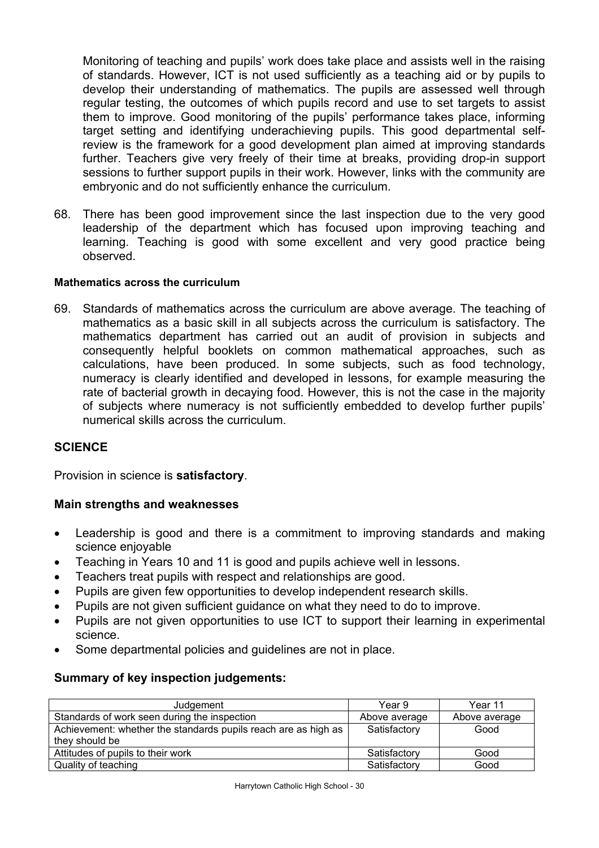Monitoring of teaching and pupils' work does take place and assists well in the raising of standards. However, ICT is not used sufficiently as a teaching aid or by pupils to develop their understanding of mathematics. The pupils are assessed well through regular testing, the outcomes of which pupils record and use to set targets to assist them to improve. Good monitoring of the pupils' performance takes place, informing target setting and identifying underachieving pupils. This good departmental selfreview is the framework for a good development plan aimed at improving standards further. Teachers give very freely of their time at breaks, providing drop-in support sessions to further support pupils in their work. However, links with the community are embryonic and do not sufficiently enhance the curriculum.

68. There has been good improvement since the last inspection due to the very good leadership of the department which has focused upon improving teaching and learning. Teaching is good with some excellent and very good practice being observed.

#### **Mathematics across the curriculum**

69. Standards of mathematics across the curriculum are above average. The teaching of mathematics as a basic skill in all subjects across the curriculum is satisfactory. The mathematics department has carried out an audit of provision in subjects and consequently helpful booklets on common mathematical approaches, such as calculations, have been produced. In some subjects, such as food technology, numeracy is clearly identified and developed in lessons, for example measuring the rate of bacterial growth in decaying food. However, this is not the case in the majority of subjects where numeracy is not sufficiently embedded to develop further pupils' numerical skills across the curriculum.

### **SCIENCE**

Provision in science is **satisfactory**.

### **Main strengths and weaknesses**

- Leadership is good and there is a commitment to improving standards and making science enjoyable
- Teaching in Years 10 and 11 is good and pupils achieve well in lessons.
- Teachers treat pupils with respect and relationships are good.
- Pupils are given few opportunities to develop independent research skills.
- Pupils are not given sufficient guidance on what they need to do to improve.
- Pupils are not given opportunities to use ICT to support their learning in experimental science.
- Some departmental policies and guidelines are not in place.

## **Summary of key inspection judgements:**

| Judgement                                                      | Year 9        | Year 11       |
|----------------------------------------------------------------|---------------|---------------|
| Standards of work seen during the inspection                   | Above average | Above average |
| Achievement: whether the standards pupils reach are as high as | Satisfactory  | Good          |
| they should be                                                 |               |               |
| Attitudes of pupils to their work                              | Satisfactory  | Good          |
| Quality of teaching                                            | Satisfactory  | Good          |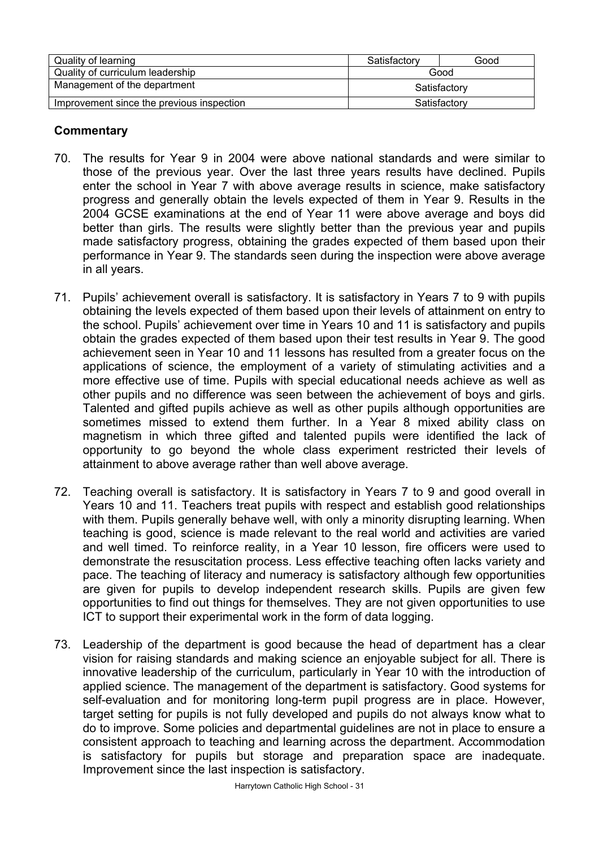| Quality of learning                       | Satisfactory | Good |
|-------------------------------------------|--------------|------|
| Quality of curriculum leadership          | Good         |      |
| Management of the department              | Satisfactory |      |
| Improvement since the previous inspection | Satisfactory |      |

- 70. The results for Year 9 in 2004 were above national standards and were similar to those of the previous year. Over the last three years results have declined. Pupils enter the school in Year 7 with above average results in science, make satisfactory progress and generally obtain the levels expected of them in Year 9. Results in the 2004 GCSE examinations at the end of Year 11 were above average and boys did better than girls. The results were slightly better than the previous year and pupils made satisfactory progress, obtaining the grades expected of them based upon their performance in Year 9. The standards seen during the inspection were above average in all years.
- 71. Pupils' achievement overall is satisfactory. It is satisfactory in Years 7 to 9 with pupils obtaining the levels expected of them based upon their levels of attainment on entry to the school. Pupils' achievement over time in Years 10 and 11 is satisfactory and pupils obtain the grades expected of them based upon their test results in Year 9. The good achievement seen in Year 10 and 11 lessons has resulted from a greater focus on the applications of science, the employment of a variety of stimulating activities and a more effective use of time. Pupils with special educational needs achieve as well as other pupils and no difference was seen between the achievement of boys and girls. Talented and gifted pupils achieve as well as other pupils although opportunities are sometimes missed to extend them further. In a Year 8 mixed ability class on magnetism in which three gifted and talented pupils were identified the lack of opportunity to go beyond the whole class experiment restricted their levels of attainment to above average rather than well above average.
- 72. Teaching overall is satisfactory. It is satisfactory in Years 7 to 9 and good overall in Years 10 and 11. Teachers treat pupils with respect and establish good relationships with them. Pupils generally behave well, with only a minority disrupting learning. When teaching is good, science is made relevant to the real world and activities are varied and well timed. To reinforce reality, in a Year 10 lesson, fire officers were used to demonstrate the resuscitation process. Less effective teaching often lacks variety and pace. The teaching of literacy and numeracy is satisfactory although few opportunities are given for pupils to develop independent research skills. Pupils are given few opportunities to find out things for themselves. They are not given opportunities to use ICT to support their experimental work in the form of data logging.
- 73. Leadership of the department is good because the head of department has a clear vision for raising standards and making science an enjoyable subject for all. There is innovative leadership of the curriculum, particularly in Year 10 with the introduction of applied science. The management of the department is satisfactory. Good systems for self-evaluation and for monitoring long-term pupil progress are in place. However, target setting for pupils is not fully developed and pupils do not always know what to do to improve. Some policies and departmental guidelines are not in place to ensure a consistent approach to teaching and learning across the department. Accommodation is satisfactory for pupils but storage and preparation space are inadequate. Improvement since the last inspection is satisfactory.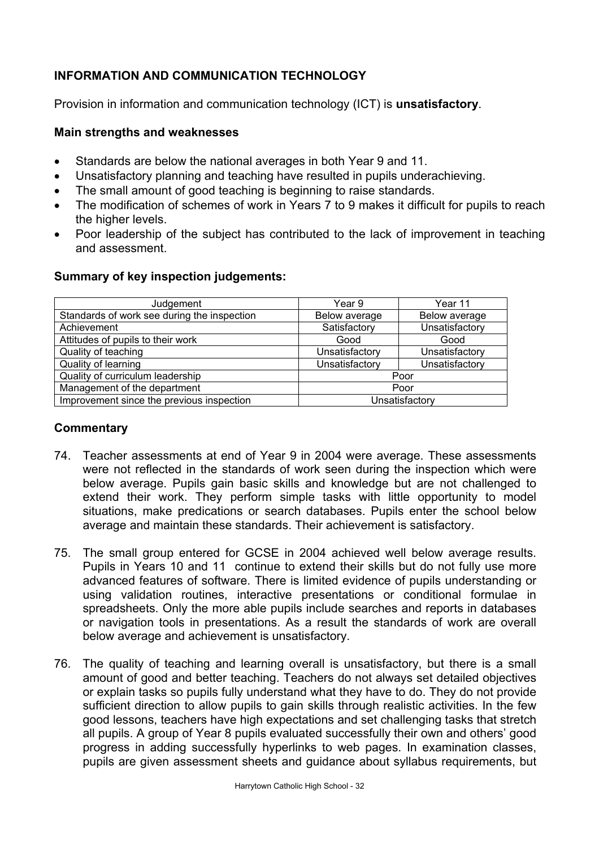## **INFORMATION AND COMMUNICATION TECHNOLOGY**

Provision in information and communication technology (ICT) is **unsatisfactory**.

### **Main strengths and weaknesses**

- Standards are below the national averages in both Year 9 and 11.
- Unsatisfactory planning and teaching have resulted in pupils underachieving.
- The small amount of good teaching is beginning to raise standards.
- The modification of schemes of work in Years 7 to 9 makes it difficult for pupils to reach the higher levels.
- Poor leadership of the subject has contributed to the lack of improvement in teaching and assessment.

## **Summary of key inspection judgements:**

| Judgement                                   | Year 9         | Year 11        |
|---------------------------------------------|----------------|----------------|
| Standards of work see during the inspection | Below average  | Below average  |
| Achievement                                 | Satisfactory   | Unsatisfactory |
| Attitudes of pupils to their work           | Good           | Good           |
| Quality of teaching                         | Unsatisfactory | Unsatisfactory |
| Quality of learning                         | Unsatisfactory | Unsatisfactory |
| Quality of curriculum leadership            | Poor           |                |
| Management of the department                | Poor           |                |
| Improvement since the previous inspection   | Unsatisfactory |                |

- 74. Teacher assessments at end of Year 9 in 2004 were average. These assessments were not reflected in the standards of work seen during the inspection which were below average. Pupils gain basic skills and knowledge but are not challenged to extend their work. They perform simple tasks with little opportunity to model situations, make predications or search databases. Pupils enter the school below average and maintain these standards. Their achievement is satisfactory.
- 75. The small group entered for GCSE in 2004 achieved well below average results. Pupils in Years 10 and 11 continue to extend their skills but do not fully use more advanced features of software. There is limited evidence of pupils understanding or using validation routines, interactive presentations or conditional formulae in spreadsheets. Only the more able pupils include searches and reports in databases or navigation tools in presentations. As a result the standards of work are overall below average and achievement is unsatisfactory.
- 76. The quality of teaching and learning overall is unsatisfactory, but there is a small amount of good and better teaching. Teachers do not always set detailed objectives or explain tasks so pupils fully understand what they have to do. They do not provide sufficient direction to allow pupils to gain skills through realistic activities. In the few good lessons, teachers have high expectations and set challenging tasks that stretch all pupils. A group of Year 8 pupils evaluated successfully their own and others' good progress in adding successfully hyperlinks to web pages. In examination classes, pupils are given assessment sheets and guidance about syllabus requirements, but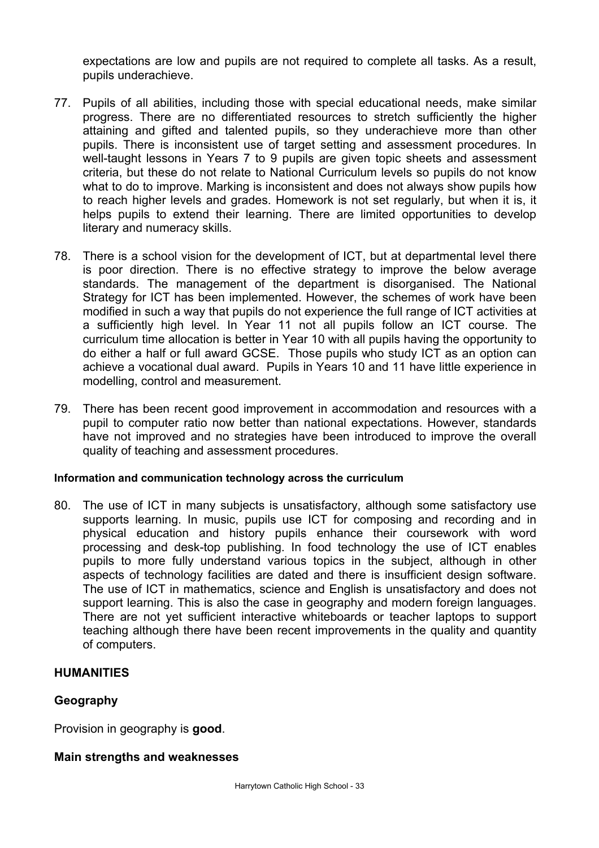expectations are low and pupils are not required to complete all tasks. As a result, pupils underachieve.

- 77. Pupils of all abilities, including those with special educational needs, make similar progress. There are no differentiated resources to stretch sufficiently the higher attaining and gifted and talented pupils, so they underachieve more than other pupils. There is inconsistent use of target setting and assessment procedures. In well-taught lessons in Years 7 to 9 pupils are given topic sheets and assessment criteria, but these do not relate to National Curriculum levels so pupils do not know what to do to improve. Marking is inconsistent and does not always show pupils how to reach higher levels and grades. Homework is not set regularly, but when it is, it helps pupils to extend their learning. There are limited opportunities to develop literary and numeracy skills.
- 78. There is a school vision for the development of ICT, but at departmental level there is poor direction. There is no effective strategy to improve the below average standards. The management of the department is disorganised. The National Strategy for ICT has been implemented. However, the schemes of work have been modified in such a way that pupils do not experience the full range of ICT activities at a sufficiently high level. In Year 11 not all pupils follow an ICT course. The curriculum time allocation is better in Year 10 with all pupils having the opportunity to do either a half or full award GCSE. Those pupils who study ICT as an option can achieve a vocational dual award. Pupils in Years 10 and 11 have little experience in modelling, control and measurement.
- 79. There has been recent good improvement in accommodation and resources with a pupil to computer ratio now better than national expectations. However, standards have not improved and no strategies have been introduced to improve the overall quality of teaching and assessment procedures.

### **Information and communication technology across the curriculum**

80. The use of ICT in many subjects is unsatisfactory, although some satisfactory use supports learning. In music, pupils use ICT for composing and recording and in physical education and history pupils enhance their coursework with word processing and desk-top publishing. In food technology the use of ICT enables pupils to more fully understand various topics in the subject, although in other aspects of technology facilities are dated and there is insufficient design software. The use of ICT in mathematics, science and English is unsatisfactory and does not support learning. This is also the case in geography and modern foreign languages. There are not yet sufficient interactive whiteboards or teacher laptops to support teaching although there have been recent improvements in the quality and quantity of computers.

### **HUMANITIES**

### **Geography**

Provision in geography is **good**.

#### **Main strengths and weaknesses**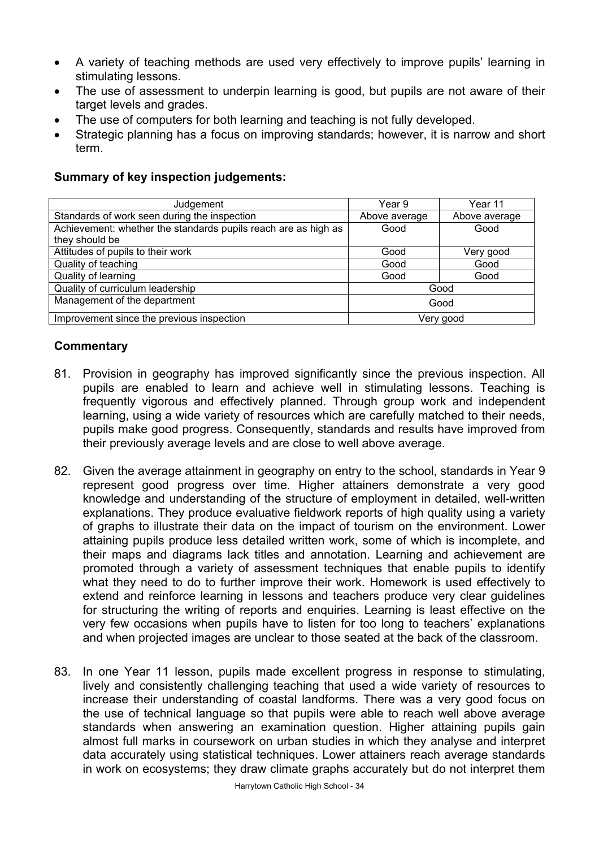- A variety of teaching methods are used very effectively to improve pupils' learning in stimulating lessons.
- The use of assessment to underpin learning is good, but pupils are not aware of their target levels and grades.
- The use of computers for both learning and teaching is not fully developed.
- Strategic planning has a focus on improving standards; however, it is narrow and short term.

#### Judgement Year 9 Year 11 Standards of work seen during the inspection Above average Above average Above average Achievement: whether the standards pupils reach are as high as they should be Good Good Attitudes of pupils to their work and the set of pupils to their work and the very good very good very good Quality of teaching Good Cuality of teaching Cuality of teaching Good Cuality of teaching Good Cuality of teaching Cood Cuality of teaching Cood Cuality of teaching Cuality of teaching Cuality of teaching Cuality of teachi Quality of learning Good Good Quality of curriculum leadership Good Management of the department Good Improvement since the previous inspection and the very good

## **Summary of key inspection judgements:**

- 81. Provision in geography has improved significantly since the previous inspection. All pupils are enabled to learn and achieve well in stimulating lessons. Teaching is frequently vigorous and effectively planned. Through group work and independent learning, using a wide variety of resources which are carefully matched to their needs, pupils make good progress. Consequently, standards and results have improved from their previously average levels and are close to well above average.
- 82. Given the average attainment in geography on entry to the school, standards in Year 9 represent good progress over time. Higher attainers demonstrate a very good knowledge and understanding of the structure of employment in detailed, well-written explanations. They produce evaluative fieldwork reports of high quality using a variety of graphs to illustrate their data on the impact of tourism on the environment. Lower attaining pupils produce less detailed written work, some of which is incomplete, and their maps and diagrams lack titles and annotation. Learning and achievement are promoted through a variety of assessment techniques that enable pupils to identify what they need to do to further improve their work. Homework is used effectively to extend and reinforce learning in lessons and teachers produce very clear guidelines for structuring the writing of reports and enquiries. Learning is least effective on the very few occasions when pupils have to listen for too long to teachers' explanations and when projected images are unclear to those seated at the back of the classroom.
- 83. In one Year 11 lesson, pupils made excellent progress in response to stimulating, lively and consistently challenging teaching that used a wide variety of resources to increase their understanding of coastal landforms. There was a very good focus on the use of technical language so that pupils were able to reach well above average standards when answering an examination question. Higher attaining pupils gain almost full marks in coursework on urban studies in which they analyse and interpret data accurately using statistical techniques. Lower attainers reach average standards in work on ecosystems; they draw climate graphs accurately but do not interpret them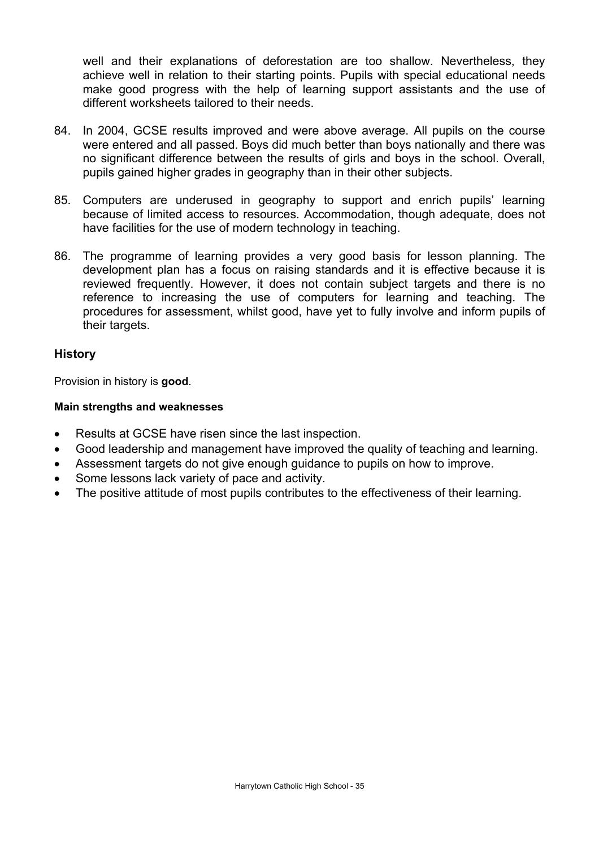well and their explanations of deforestation are too shallow. Nevertheless, they achieve well in relation to their starting points. Pupils with special educational needs make good progress with the help of learning support assistants and the use of different worksheets tailored to their needs.

- 84. In 2004, GCSE results improved and were above average. All pupils on the course were entered and all passed. Boys did much better than boys nationally and there was no significant difference between the results of girls and boys in the school. Overall, pupils gained higher grades in geography than in their other subjects.
- 85. Computers are underused in geography to support and enrich pupils' learning because of limited access to resources. Accommodation, though adequate, does not have facilities for the use of modern technology in teaching.
- 86. The programme of learning provides a very good basis for lesson planning. The development plan has a focus on raising standards and it is effective because it is reviewed frequently. However, it does not contain subject targets and there is no reference to increasing the use of computers for learning and teaching. The procedures for assessment, whilst good, have yet to fully involve and inform pupils of their targets.

### **History**

Provision in history is **good**.

#### **Main strengths and weaknesses**

- Results at GCSE have risen since the last inspection.
- Good leadership and management have improved the quality of teaching and learning.
- Assessment targets do not give enough guidance to pupils on how to improve.
- Some lessons lack variety of pace and activity.
- The positive attitude of most pupils contributes to the effectiveness of their learning.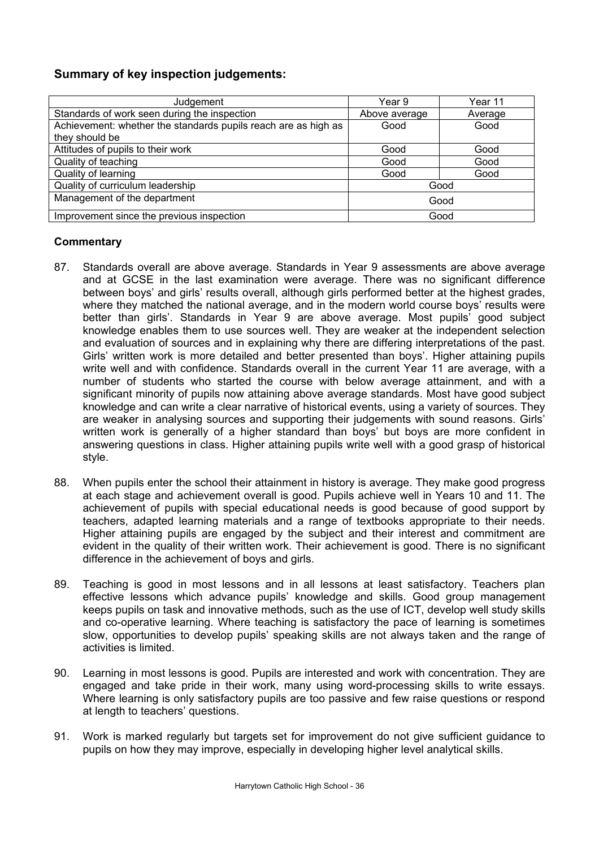## **Summary of key inspection judgements:**

| Judgement                                                      | Year 9        | Year 11 |
|----------------------------------------------------------------|---------------|---------|
| Standards of work seen during the inspection                   | Above average | Average |
| Achievement: whether the standards pupils reach are as high as | Good          | Good    |
| they should be                                                 |               |         |
| Attitudes of pupils to their work                              | Good          | Good    |
| Quality of teaching                                            | Good          | Good    |
| Quality of learning                                            | Good          | Good    |
| Quality of curriculum leadership                               | Good          |         |
| Management of the department                                   | Good          |         |
| Improvement since the previous inspection                      | Good          |         |

- 87. Standards overall are above average. Standards in Year 9 assessments are above average and at GCSE in the last examination were average. There was no significant difference between boys' and girls' results overall, although girls performed better at the highest grades, where they matched the national average, and in the modern world course boys' results were better than girls'. Standards in Year 9 are above average. Most pupils' good subject knowledge enables them to use sources well. They are weaker at the independent selection and evaluation of sources and in explaining why there are differing interpretations of the past. Girls' written work is more detailed and better presented than boys'. Higher attaining pupils write well and with confidence. Standards overall in the current Year 11 are average, with a number of students who started the course with below average attainment, and with a significant minority of pupils now attaining above average standards. Most have good subject knowledge and can write a clear narrative of historical events, using a variety of sources. They are weaker in analysing sources and supporting their judgements with sound reasons. Girls' written work is generally of a higher standard than boys' but boys are more confident in answering questions in class. Higher attaining pupils write well with a good grasp of historical style.
- 88. When pupils enter the school their attainment in history is average. They make good progress at each stage and achievement overall is good. Pupils achieve well in Years 10 and 11. The achievement of pupils with special educational needs is good because of good support by teachers, adapted learning materials and a range of textbooks appropriate to their needs. Higher attaining pupils are engaged by the subject and their interest and commitment are evident in the quality of their written work. Their achievement is good. There is no significant difference in the achievement of boys and girls.
- 89. Teaching is good in most lessons and in all lessons at least satisfactory. Teachers plan effective lessons which advance pupils' knowledge and skills. Good group management keeps pupils on task and innovative methods, such as the use of ICT, develop well study skills and co-operative learning. Where teaching is satisfactory the pace of learning is sometimes slow, opportunities to develop pupils' speaking skills are not always taken and the range of activities is limited.
- 90. Learning in most lessons is good. Pupils are interested and work with concentration. They are engaged and take pride in their work, many using word-processing skills to write essays. Where learning is only satisfactory pupils are too passive and few raise questions or respond at length to teachers' questions.
- 91. Work is marked regularly but targets set for improvement do not give sufficient guidance to pupils on how they may improve, especially in developing higher level analytical skills.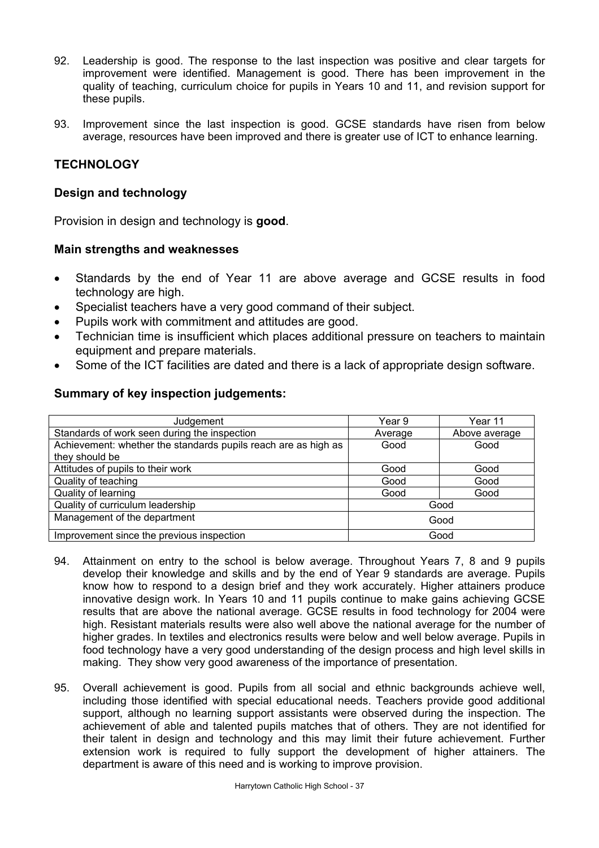- 92. Leadership is good. The response to the last inspection was positive and clear targets for improvement were identified. Management is good. There has been improvement in the quality of teaching, curriculum choice for pupils in Years 10 and 11, and revision support for these pupils.
- 93. Improvement since the last inspection is good. GCSE standards have risen from below average, resources have been improved and there is greater use of ICT to enhance learning.

## **TECHNOLOGY**

#### **Design and technology**

Provision in design and technology is **good**.

#### **Main strengths and weaknesses**

- Standards by the end of Year 11 are above average and GCSE results in food technology are high.
- Specialist teachers have a very good command of their subject.
- Pupils work with commitment and attitudes are good.
- Technician time is insufficient which places additional pressure on teachers to maintain equipment and prepare materials.
- Some of the ICT facilities are dated and there is a lack of appropriate design software.

#### **Summary of key inspection judgements:**

| Judgement                                                      | Year 9  | Year 11       |
|----------------------------------------------------------------|---------|---------------|
| Standards of work seen during the inspection                   | Average | Above average |
| Achievement: whether the standards pupils reach are as high as | Good    | Good          |
| they should be                                                 |         |               |
| Attitudes of pupils to their work                              | Good    | Good          |
| Quality of teaching                                            | Good    | Good          |
| Quality of learning                                            | Good    | Good          |
| Quality of curriculum leadership                               | Good    |               |
| Management of the department                                   | Good    |               |
| Improvement since the previous inspection                      | Good    |               |

- 94. Attainment on entry to the school is below average. Throughout Years 7, 8 and 9 pupils develop their knowledge and skills and by the end of Year 9 standards are average. Pupils know how to respond to a design brief and they work accurately. Higher attainers produce innovative design work. In Years 10 and 11 pupils continue to make gains achieving GCSE results that are above the national average. GCSE results in food technology for 2004 were high. Resistant materials results were also well above the national average for the number of higher grades. In textiles and electronics results were below and well below average. Pupils in food technology have a very good understanding of the design process and high level skills in making. They show very good awareness of the importance of presentation.
- 95. Overall achievement is good. Pupils from all social and ethnic backgrounds achieve well, including those identified with special educational needs. Teachers provide good additional support, although no learning support assistants were observed during the inspection. The achievement of able and talented pupils matches that of others. They are not identified for their talent in design and technology and this may limit their future achievement. Further extension work is required to fully support the development of higher attainers. The department is aware of this need and is working to improve provision.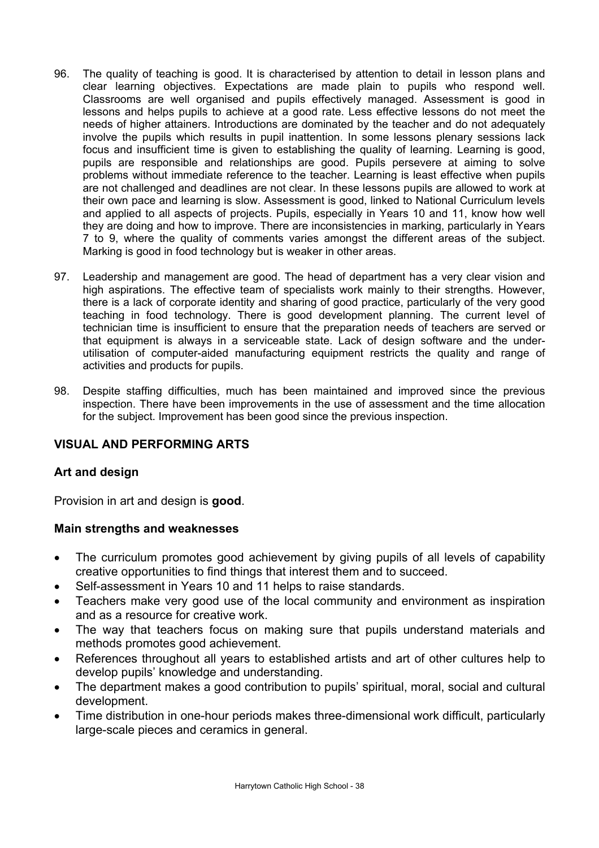- 96. The quality of teaching is good. It is characterised by attention to detail in lesson plans and clear learning objectives. Expectations are made plain to pupils who respond well. Classrooms are well organised and pupils effectively managed. Assessment is good in lessons and helps pupils to achieve at a good rate. Less effective lessons do not meet the needs of higher attainers. Introductions are dominated by the teacher and do not adequately involve the pupils which results in pupil inattention. In some lessons plenary sessions lack focus and insufficient time is given to establishing the quality of learning. Learning is good, pupils are responsible and relationships are good. Pupils persevere at aiming to solve problems without immediate reference to the teacher. Learning is least effective when pupils are not challenged and deadlines are not clear. In these lessons pupils are allowed to work at their own pace and learning is slow. Assessment is good, linked to National Curriculum levels and applied to all aspects of projects. Pupils, especially in Years 10 and 11, know how well they are doing and how to improve. There are inconsistencies in marking, particularly in Years 7 to 9, where the quality of comments varies amongst the different areas of the subject. Marking is good in food technology but is weaker in other areas.
- 97. Leadership and management are good. The head of department has a very clear vision and high aspirations. The effective team of specialists work mainly to their strengths. However, there is a lack of corporate identity and sharing of good practice, particularly of the very good teaching in food technology. There is good development planning. The current level of technician time is insufficient to ensure that the preparation needs of teachers are served or that equipment is always in a serviceable state. Lack of design software and the underutilisation of computer-aided manufacturing equipment restricts the quality and range of activities and products for pupils.
- 98. Despite staffing difficulties, much has been maintained and improved since the previous inspection. There have been improvements in the use of assessment and the time allocation for the subject. Improvement has been good since the previous inspection.

## **VISUAL AND PERFORMING ARTS**

### **Art and design**

Provision in art and design is **good**.

### **Main strengths and weaknesses**

- The curriculum promotes good achievement by giving pupils of all levels of capability creative opportunities to find things that interest them and to succeed.
- Self-assessment in Years 10 and 11 helps to raise standards.
- Teachers make very good use of the local community and environment as inspiration and as a resource for creative work.
- The way that teachers focus on making sure that pupils understand materials and methods promotes good achievement.
- References throughout all years to established artists and art of other cultures help to develop pupils' knowledge and understanding.
- The department makes a good contribution to pupils' spiritual, moral, social and cultural development.
- Time distribution in one-hour periods makes three-dimensional work difficult, particularly large-scale pieces and ceramics in general.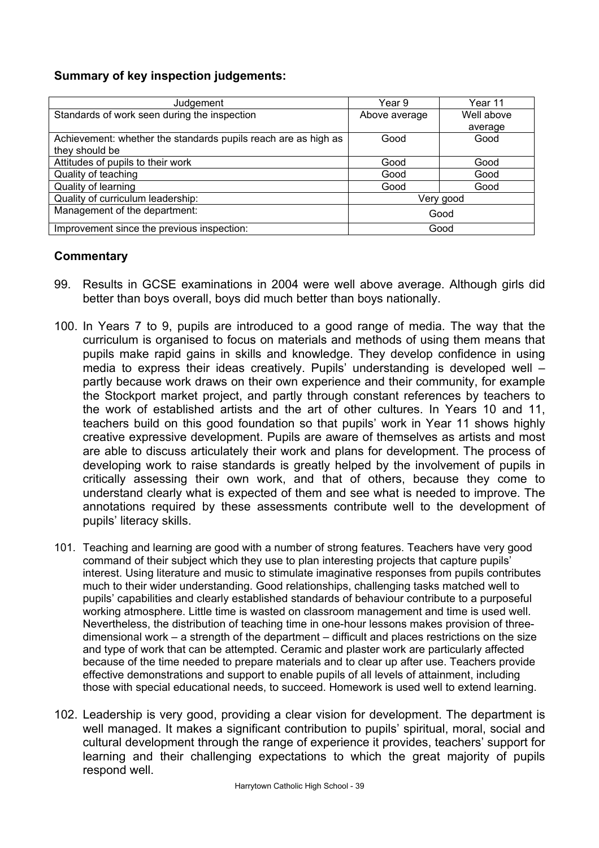## **Summary of key inspection judgements:**

| Judgement                                                      | Year 9        | Year 11    |
|----------------------------------------------------------------|---------------|------------|
| Standards of work seen during the inspection                   | Above average | Well above |
|                                                                |               | average    |
| Achievement: whether the standards pupils reach are as high as | Good          | Good       |
| they should be                                                 |               |            |
| Attitudes of pupils to their work                              | Good          | Good       |
| Quality of teaching                                            | Good          | Good       |
| Quality of learning                                            | Good          | Good       |
| Quality of curriculum leadership:                              | Very good     |            |
| Management of the department:                                  | Good          |            |
| Improvement since the previous inspection:                     |               | Good       |

- 99. Results in GCSE examinations in 2004 were well above average. Although girls did better than boys overall, boys did much better than boys nationally.
- 100. In Years 7 to 9, pupils are introduced to a good range of media. The way that the curriculum is organised to focus on materials and methods of using them means that pupils make rapid gains in skills and knowledge. They develop confidence in using media to express their ideas creatively. Pupils' understanding is developed well – partly because work draws on their own experience and their community, for example the Stockport market project, and partly through constant references by teachers to the work of established artists and the art of other cultures. In Years 10 and 11, teachers build on this good foundation so that pupils' work in Year 11 shows highly creative expressive development. Pupils are aware of themselves as artists and most are able to discuss articulately their work and plans for development. The process of developing work to raise standards is greatly helped by the involvement of pupils in critically assessing their own work, and that of others, because they come to understand clearly what is expected of them and see what is needed to improve. The annotations required by these assessments contribute well to the development of pupils' literacy skills.
- 101. Teaching and learning are good with a number of strong features. Teachers have very good command of their subject which they use to plan interesting projects that capture pupils' interest. Using literature and music to stimulate imaginative responses from pupils contributes much to their wider understanding. Good relationships, challenging tasks matched well to pupils' capabilities and clearly established standards of behaviour contribute to a purposeful working atmosphere. Little time is wasted on classroom management and time is used well. Nevertheless, the distribution of teaching time in one-hour lessons makes provision of threedimensional work – a strength of the department – difficult and places restrictions on the size and type of work that can be attempted. Ceramic and plaster work are particularly affected because of the time needed to prepare materials and to clear up after use. Teachers provide effective demonstrations and support to enable pupils of all levels of attainment, including those with special educational needs, to succeed. Homework is used well to extend learning.
- 102. Leadership is very good, providing a clear vision for development. The department is well managed. It makes a significant contribution to pupils' spiritual, moral, social and cultural development through the range of experience it provides, teachers' support for learning and their challenging expectations to which the great majority of pupils respond well.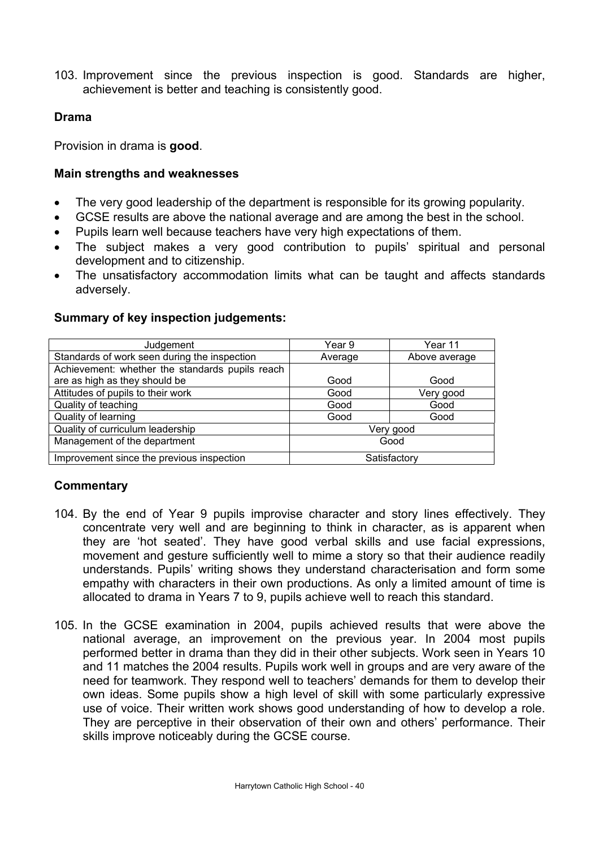103. Improvement since the previous inspection is good. Standards are higher, achievement is better and teaching is consistently good.

## **Drama**

Provision in drama is **good**.

## **Main strengths and weaknesses**

- The very good leadership of the department is responsible for its growing popularity.
- GCSE results are above the national average and are among the best in the school.
- Pupils learn well because teachers have very high expectations of them.
- The subject makes a very good contribution to pupils' spiritual and personal development and to citizenship.
- The unsatisfactory accommodation limits what can be taught and affects standards adversely.

## **Summary of key inspection judgements:**

| Judgement                                       | Year 9       | Year 11       |
|-------------------------------------------------|--------------|---------------|
| Standards of work seen during the inspection    | Average      | Above average |
| Achievement: whether the standards pupils reach |              |               |
| are as high as they should be                   | Good         | Good          |
| Attitudes of pupils to their work               | Good         | Very good     |
| Quality of teaching                             | Good         | Good          |
| Quality of learning                             | Good         | Good          |
| Quality of curriculum leadership                | Very good    |               |
| Management of the department                    | Good         |               |
| Improvement since the previous inspection       | Satisfactory |               |

- 104. By the end of Year 9 pupils improvise character and story lines effectively. They concentrate very well and are beginning to think in character, as is apparent when they are 'hot seated'. They have good verbal skills and use facial expressions, movement and gesture sufficiently well to mime a story so that their audience readily understands. Pupils' writing shows they understand characterisation and form some empathy with characters in their own productions. As only a limited amount of time is allocated to drama in Years 7 to 9, pupils achieve well to reach this standard.
- 105. In the GCSE examination in 2004, pupils achieved results that were above the national average, an improvement on the previous year. In 2004 most pupils performed better in drama than they did in their other subjects. Work seen in Years 10 and 11 matches the 2004 results. Pupils work well in groups and are very aware of the need for teamwork. They respond well to teachers' demands for them to develop their own ideas. Some pupils show a high level of skill with some particularly expressive use of voice. Their written work shows good understanding of how to develop a role. They are perceptive in their observation of their own and others' performance. Their skills improve noticeably during the GCSE course.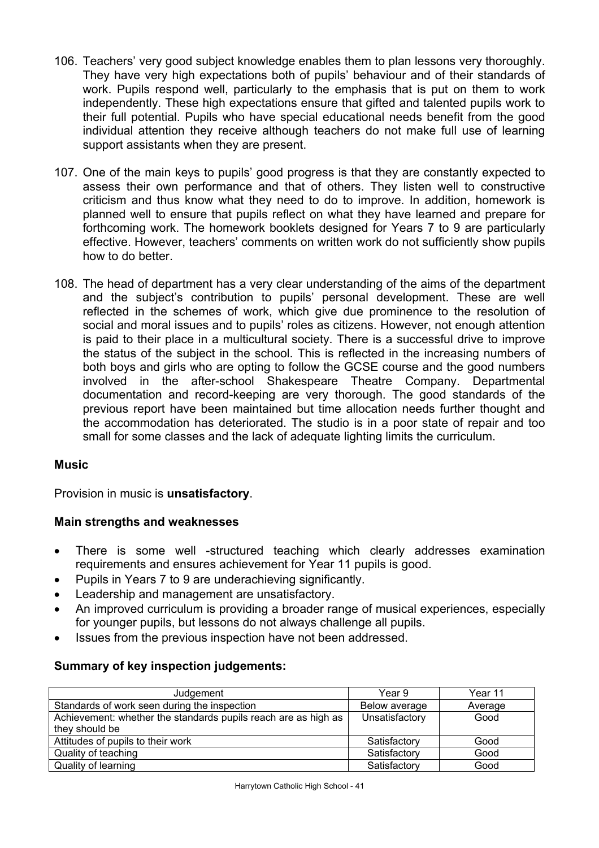- 106. Teachers' very good subject knowledge enables them to plan lessons very thoroughly. They have very high expectations both of pupils' behaviour and of their standards of work. Pupils respond well, particularly to the emphasis that is put on them to work independently. These high expectations ensure that gifted and talented pupils work to their full potential. Pupils who have special educational needs benefit from the good individual attention they receive although teachers do not make full use of learning support assistants when they are present.
- 107. One of the main keys to pupils' good progress is that they are constantly expected to assess their own performance and that of others. They listen well to constructive criticism and thus know what they need to do to improve. In addition, homework is planned well to ensure that pupils reflect on what they have learned and prepare for forthcoming work. The homework booklets designed for Years 7 to 9 are particularly effective. However, teachers' comments on written work do not sufficiently show pupils how to do better.
- 108. The head of department has a very clear understanding of the aims of the department and the subject's contribution to pupils' personal development. These are well reflected in the schemes of work, which give due prominence to the resolution of social and moral issues and to pupils' roles as citizens. However, not enough attention is paid to their place in a multicultural society. There is a successful drive to improve the status of the subject in the school. This is reflected in the increasing numbers of both boys and girls who are opting to follow the GCSE course and the good numbers involved in the after-school Shakespeare Theatre Company. Departmental documentation and record-keeping are very thorough. The good standards of the previous report have been maintained but time allocation needs further thought and the accommodation has deteriorated. The studio is in a poor state of repair and too small for some classes and the lack of adequate lighting limits the curriculum.

## **Music**

Provision in music is **unsatisfactory**.

## **Main strengths and weaknesses**

- There is some well -structured teaching which clearly addresses examination requirements and ensures achievement for Year 11 pupils is good.
- Pupils in Years 7 to 9 are underachieving significantly.
- Leadership and management are unsatisfactory.
- An improved curriculum is providing a broader range of musical experiences, especially for younger pupils, but lessons do not always challenge all pupils.
- Issues from the previous inspection have not been addressed.

## **Summary of key inspection judgements:**

| Judgement                                                      | Year 9         | Year 11 |
|----------------------------------------------------------------|----------------|---------|
| Standards of work seen during the inspection                   | Below average  | Average |
| Achievement: whether the standards pupils reach are as high as | Unsatisfactory | Good    |
| they should be                                                 |                |         |
| Attitudes of pupils to their work                              | Satisfactory   | Good    |
| Quality of teaching                                            | Satisfactory   | Good    |
| Quality of learning                                            | Satisfactory   | Good    |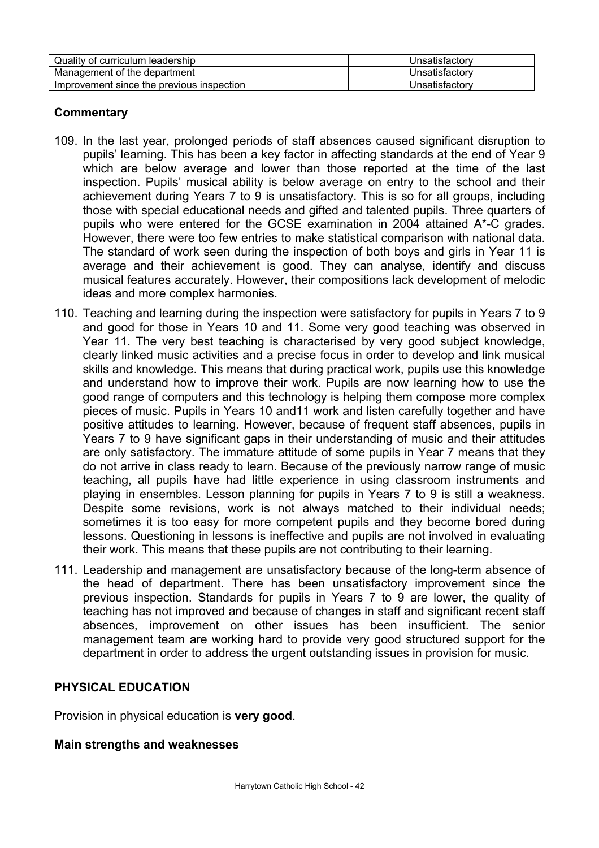| Quality of curriculum leadership          | Unsatisfactory |
|-------------------------------------------|----------------|
| Management of the department              | Unsatisfactory |
| Improvement since the previous inspection | Unsatisfactory |

## **Commentary**

- 109. In the last year, prolonged periods of staff absences caused significant disruption to pupils' learning. This has been a key factor in affecting standards at the end of Year 9 which are below average and lower than those reported at the time of the last inspection. Pupils' musical ability is below average on entry to the school and their achievement during Years 7 to 9 is unsatisfactory. This is so for all groups, including those with special educational needs and gifted and talented pupils. Three quarters of pupils who were entered for the GCSE examination in 2004 attained A\*-C grades. However, there were too few entries to make statistical comparison with national data. The standard of work seen during the inspection of both boys and girls in Year 11 is average and their achievement is good. They can analyse, identify and discuss musical features accurately. However, their compositions lack development of melodic ideas and more complex harmonies.
- 110. Teaching and learning during the inspection were satisfactory for pupils in Years 7 to 9 and good for those in Years 10 and 11. Some very good teaching was observed in Year 11. The very best teaching is characterised by very good subject knowledge, clearly linked music activities and a precise focus in order to develop and link musical skills and knowledge. This means that during practical work, pupils use this knowledge and understand how to improve their work. Pupils are now learning how to use the good range of computers and this technology is helping them compose more complex pieces of music. Pupils in Years 10 and11 work and listen carefully together and have positive attitudes to learning. However, because of frequent staff absences, pupils in Years 7 to 9 have significant gaps in their understanding of music and their attitudes are only satisfactory. The immature attitude of some pupils in Year 7 means that they do not arrive in class ready to learn. Because of the previously narrow range of music teaching, all pupils have had little experience in using classroom instruments and playing in ensembles. Lesson planning for pupils in Years 7 to 9 is still a weakness. Despite some revisions, work is not always matched to their individual needs; sometimes it is too easy for more competent pupils and they become bored during lessons. Questioning in lessons is ineffective and pupils are not involved in evaluating their work. This means that these pupils are not contributing to their learning.
- 111. Leadership and management are unsatisfactory because of the long-term absence of the head of department. There has been unsatisfactory improvement since the previous inspection. Standards for pupils in Years 7 to 9 are lower, the quality of teaching has not improved and because of changes in staff and significant recent staff absences, improvement on other issues has been insufficient. The senior management team are working hard to provide very good structured support for the department in order to address the urgent outstanding issues in provision for music.

### **PHYSICAL EDUCATION**

Provision in physical education is **very good**.

#### **Main strengths and weaknesses**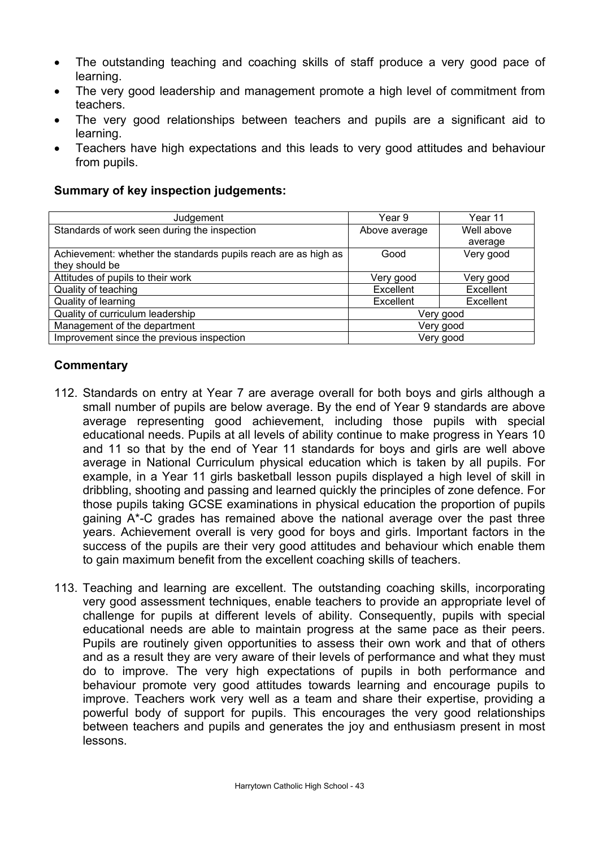- The outstanding teaching and coaching skills of staff produce a very good pace of learning.
- The very good leadership and management promote a high level of commitment from teachers.
- The very good relationships between teachers and pupils are a significant aid to learning.
- Teachers have high expectations and this leads to very good attitudes and behaviour from pupils.

## **Summary of key inspection judgements:**

| Judgement                                                      | Year 9        | Year 11    |
|----------------------------------------------------------------|---------------|------------|
| Standards of work seen during the inspection                   | Above average | Well above |
|                                                                |               | average    |
| Achievement: whether the standards pupils reach are as high as | Good          | Very good  |
| they should be                                                 |               |            |
| Attitudes of pupils to their work                              | Very good     | Very good  |
| Quality of teaching                                            | Excellent     | Excellent  |
| Quality of learning                                            | Excellent     | Excellent  |
| Quality of curriculum leadership                               | Very good     |            |
| Management of the department                                   | Very good     |            |
| Improvement since the previous inspection                      | Very good     |            |

- 112. Standards on entry at Year 7 are average overall for both boys and girls although a small number of pupils are below average. By the end of Year 9 standards are above average representing good achievement, including those pupils with special educational needs. Pupils at all levels of ability continue to make progress in Years 10 and 11 so that by the end of Year 11 standards for boys and girls are well above average in National Curriculum physical education which is taken by all pupils. For example, in a Year 11 girls basketball lesson pupils displayed a high level of skill in dribbling, shooting and passing and learned quickly the principles of zone defence. For those pupils taking GCSE examinations in physical education the proportion of pupils gaining A\*-C grades has remained above the national average over the past three years. Achievement overall is very good for boys and girls. Important factors in the success of the pupils are their very good attitudes and behaviour which enable them to gain maximum benefit from the excellent coaching skills of teachers.
- 113. Teaching and learning are excellent. The outstanding coaching skills, incorporating very good assessment techniques, enable teachers to provide an appropriate level of challenge for pupils at different levels of ability. Consequently, pupils with special educational needs are able to maintain progress at the same pace as their peers. Pupils are routinely given opportunities to assess their own work and that of others and as a result they are very aware of their levels of performance and what they must do to improve. The very high expectations of pupils in both performance and behaviour promote very good attitudes towards learning and encourage pupils to improve. Teachers work very well as a team and share their expertise, providing a powerful body of support for pupils. This encourages the very good relationships between teachers and pupils and generates the joy and enthusiasm present in most lessons.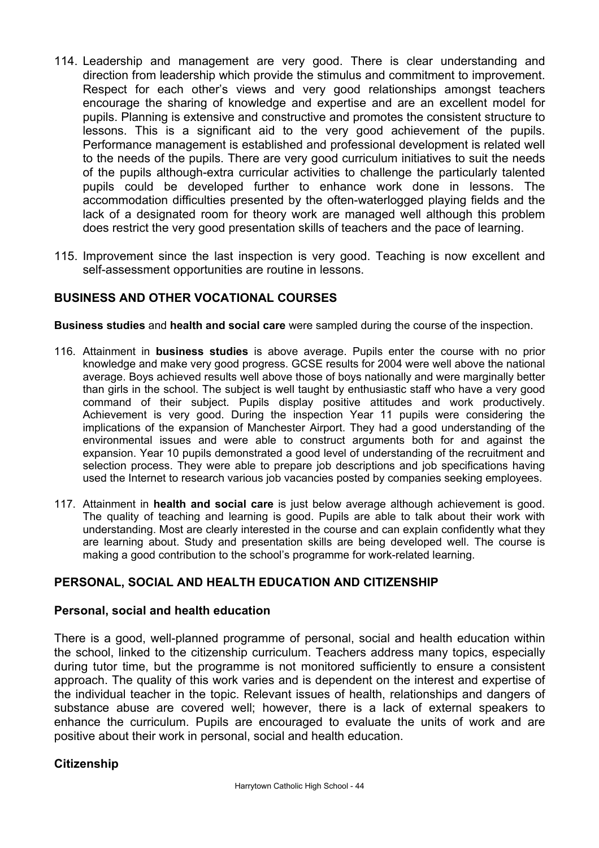- 114. Leadership and management are very good. There is clear understanding and direction from leadership which provide the stimulus and commitment to improvement. Respect for each other's views and very good relationships amongst teachers encourage the sharing of knowledge and expertise and are an excellent model for pupils. Planning is extensive and constructive and promotes the consistent structure to lessons. This is a significant aid to the very good achievement of the pupils. Performance management is established and professional development is related well to the needs of the pupils. There are very good curriculum initiatives to suit the needs of the pupils although-extra curricular activities to challenge the particularly talented pupils could be developed further to enhance work done in lessons. The accommodation difficulties presented by the often-waterlogged playing fields and the lack of a designated room for theory work are managed well although this problem does restrict the very good presentation skills of teachers and the pace of learning.
- 115. Improvement since the last inspection is very good. Teaching is now excellent and self-assessment opportunities are routine in lessons.

## **BUSINESS AND OTHER VOCATIONAL COURSES**

**Business studies** and **health and social care** were sampled during the course of the inspection.

- 116. Attainment in **business studies** is above average. Pupils enter the course with no prior knowledge and make very good progress. GCSE results for 2004 were well above the national average. Boys achieved results well above those of boys nationally and were marginally better than girls in the school. The subject is well taught by enthusiastic staff who have a very good command of their subject. Pupils display positive attitudes and work productively. Achievement is very good. During the inspection Year 11 pupils were considering the implications of the expansion of Manchester Airport. They had a good understanding of the environmental issues and were able to construct arguments both for and against the expansion. Year 10 pupils demonstrated a good level of understanding of the recruitment and selection process. They were able to prepare job descriptions and job specifications having used the Internet to research various job vacancies posted by companies seeking employees.
- 117. Attainment in **health and social care** is just below average although achievement is good. The quality of teaching and learning is good. Pupils are able to talk about their work with understanding. Most are clearly interested in the course and can explain confidently what they are learning about. Study and presentation skills are being developed well. The course is making a good contribution to the school's programme for work-related learning.

## **PERSONAL, SOCIAL AND HEALTH EDUCATION AND CITIZENSHIP**

### **Personal, social and health education**

There is a good, well-planned programme of personal, social and health education within the school, linked to the citizenship curriculum. Teachers address many topics, especially during tutor time, but the programme is not monitored sufficiently to ensure a consistent approach. The quality of this work varies and is dependent on the interest and expertise of the individual teacher in the topic. Relevant issues of health, relationships and dangers of substance abuse are covered well; however, there is a lack of external speakers to enhance the curriculum. Pupils are encouraged to evaluate the units of work and are positive about their work in personal, social and health education.

### **Citizenship**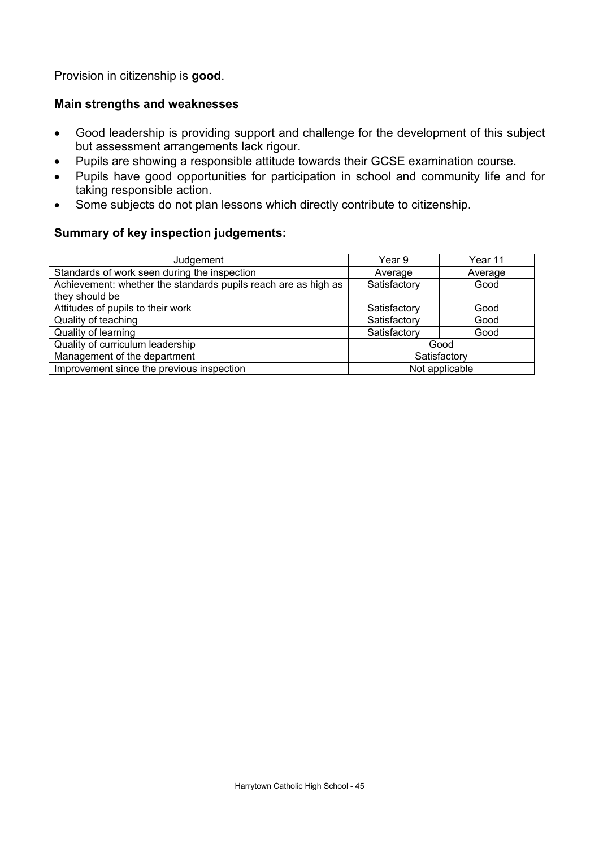Provision in citizenship is **good**.

## **Main strengths and weaknesses**

- Good leadership is providing support and challenge for the development of this subject but assessment arrangements lack rigour.
- Pupils are showing a responsible attitude towards their GCSE examination course.
- Pupils have good opportunities for participation in school and community life and for taking responsible action.
- Some subjects do not plan lessons which directly contribute to citizenship.

## **Summary of key inspection judgements:**

| Judgement                                                      | Year 9         | Year 11 |
|----------------------------------------------------------------|----------------|---------|
| Standards of work seen during the inspection                   | Average        | Average |
| Achievement: whether the standards pupils reach are as high as | Satisfactory   | Good    |
| they should be                                                 |                |         |
| Attitudes of pupils to their work                              | Satisfactory   | Good    |
| Quality of teaching                                            | Satisfactory   | Good    |
| Quality of learning                                            | Satisfactory   | Good    |
| Quality of curriculum leadership                               | Good           |         |
| Management of the department                                   | Satisfactory   |         |
| Improvement since the previous inspection                      | Not applicable |         |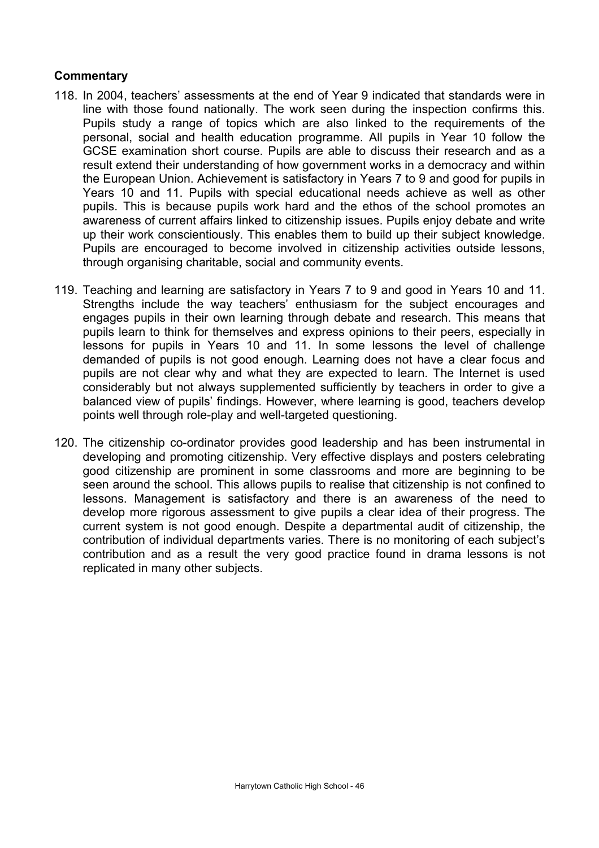- 118. In 2004, teachers' assessments at the end of Year 9 indicated that standards were in line with those found nationally. The work seen during the inspection confirms this. Pupils study a range of topics which are also linked to the requirements of the personal, social and health education programme. All pupils in Year 10 follow the GCSE examination short course. Pupils are able to discuss their research and as a result extend their understanding of how government works in a democracy and within the European Union. Achievement is satisfactory in Years 7 to 9 and good for pupils in Years 10 and 11. Pupils with special educational needs achieve as well as other pupils. This is because pupils work hard and the ethos of the school promotes an awareness of current affairs linked to citizenship issues. Pupils enjoy debate and write up their work conscientiously. This enables them to build up their subject knowledge. Pupils are encouraged to become involved in citizenship activities outside lessons, through organising charitable, social and community events.
- 119. Teaching and learning are satisfactory in Years 7 to 9 and good in Years 10 and 11. Strengths include the way teachers' enthusiasm for the subject encourages and engages pupils in their own learning through debate and research. This means that pupils learn to think for themselves and express opinions to their peers, especially in lessons for pupils in Years 10 and 11. In some lessons the level of challenge demanded of pupils is not good enough. Learning does not have a clear focus and pupils are not clear why and what they are expected to learn. The Internet is used considerably but not always supplemented sufficiently by teachers in order to give a balanced view of pupils' findings. However, where learning is good, teachers develop points well through role-play and well-targeted questioning.
- 120. The citizenship co-ordinator provides good leadership and has been instrumental in developing and promoting citizenship. Very effective displays and posters celebrating good citizenship are prominent in some classrooms and more are beginning to be seen around the school. This allows pupils to realise that citizenship is not confined to lessons. Management is satisfactory and there is an awareness of the need to develop more rigorous assessment to give pupils a clear idea of their progress. The current system is not good enough. Despite a departmental audit of citizenship, the contribution of individual departments varies. There is no monitoring of each subject's contribution and as a result the very good practice found in drama lessons is not replicated in many other subjects.